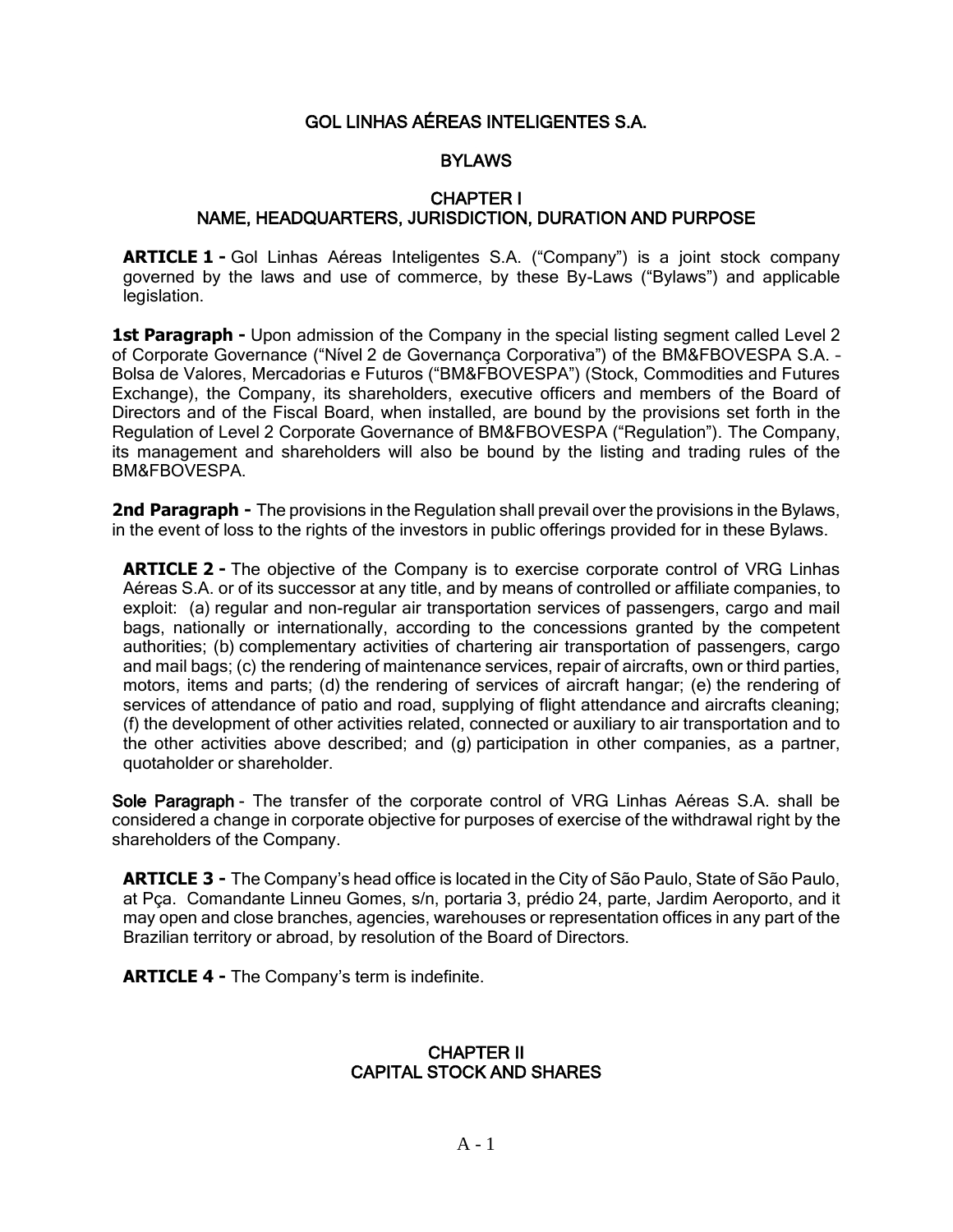# GOL LINHAS AÉREAS INTELIGENTES S.A.

# **BYLAWS**

#### CHAPTER I NAME, HEADQUARTERS, JURISDICTION, DURATION AND PURPOSE

**ARTICLE 1 -** Gol Linhas Aéreas Inteligentes S.A. ("Company") is a joint stock company governed by the laws and use of commerce, by these By-Laws ("Bylaws") and applicable legislation.

**1st Paragraph -** Upon admission of the Company in the special listing segment called Level 2 of Corporate Governance ("Nível 2 de Governança Corporativa") of the BM&FBOVESPA S.A. – Bolsa de Valores, Mercadorias e Futuros ("BM&FBOVESPA") (Stock, Commodities and Futures Exchange), the Company, its shareholders, executive officers and members of the Board of Directors and of the Fiscal Board, when installed, are bound by the provisions set forth in the Regulation of Level 2 Corporate Governance of BM&FBOVESPA ("Regulation"). The Company, its management and shareholders will also be bound by the listing and trading rules of the BM&FBOVESPA.

**2nd Paragraph -** The provisions in the Regulation shall prevail over the provisions in the Bylaws, in the event of loss to the rights of the investors in public offerings provided for in these Bylaws.

**ARTICLE 2 -** The objective of the Company is to exercise corporate control of VRG Linhas Aéreas S.A. or of its successor at any title, and by means of controlled or affiliate companies, to exploit: (a) regular and non-regular air transportation services of passengers, cargo and mail bags, nationally or internationally, according to the concessions granted by the competent authorities; (b) complementary activities of chartering air transportation of passengers, cargo and mail bags; (c) the rendering of maintenance services, repair of aircrafts, own or third parties, motors, items and parts; (d) the rendering of services of aircraft hangar; (e) the rendering of services of attendance of patio and road, supplying of flight attendance and aircrafts cleaning; (f) the development of other activities related, connected or auxiliary to air transportation and to the other activities above described; and (g) participation in other companies, as a partner, quotaholder or shareholder.

Sole Paragraph - The transfer of the corporate control of VRG Linhas Aéreas S.A. shall be considered a change in corporate objective for purposes of exercise of the withdrawal right by the shareholders of the Company.

**ARTICLE 3 -** The Company's head office is located in the City of São Paulo, State of São Paulo, at Pça. Comandante Linneu Gomes, s/n, portaria 3, prédio 24, parte, Jardim Aeroporto, and it may open and close branches, agencies, warehouses or representation offices in any part of the Brazilian territory or abroad, by resolution of the Board of Directors.

**ARTICLE 4 -** The Company's term is indefinite.

#### CHAPTER II CAPITAL STOCK AND SHARES

 $A - 1$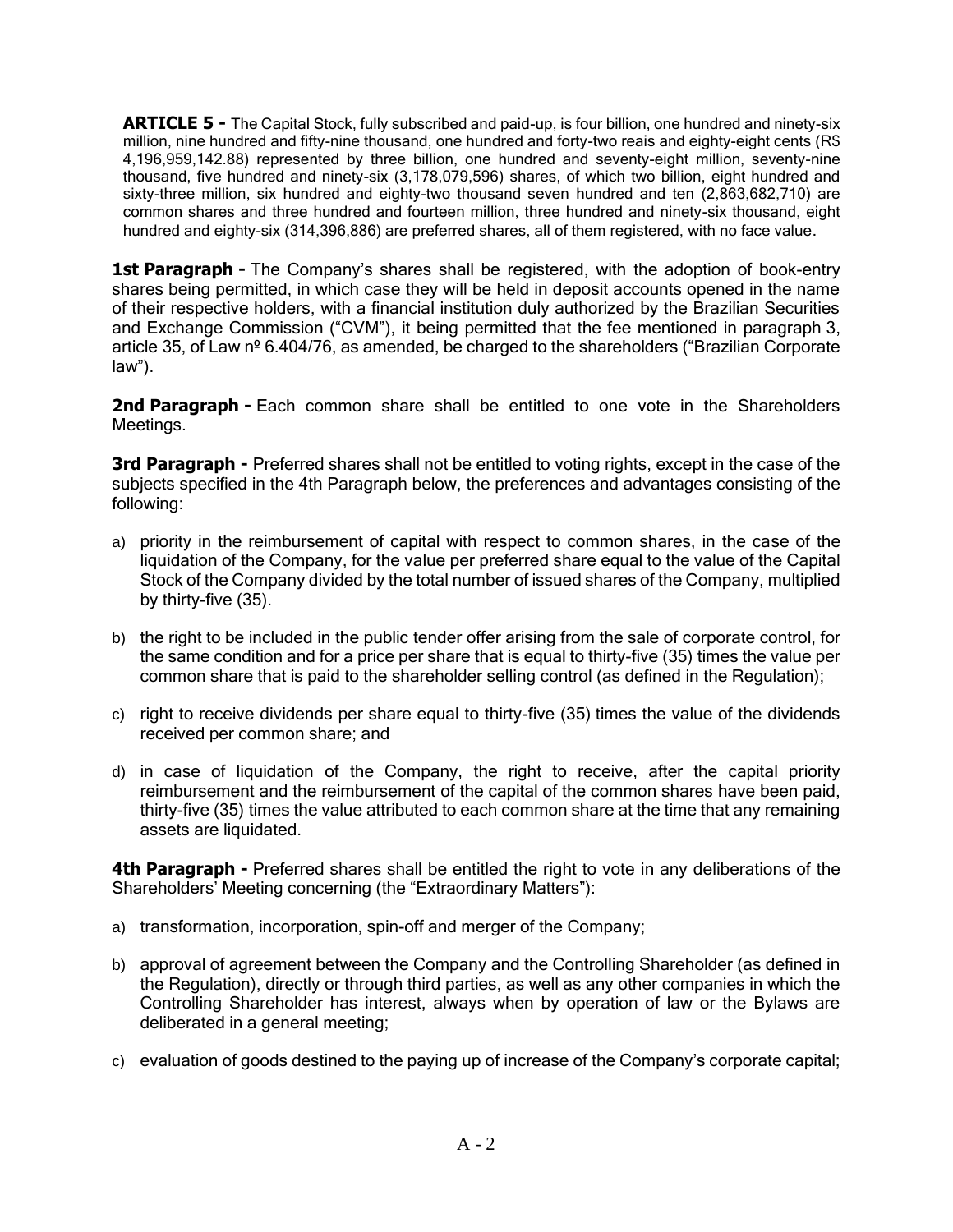**ARTICLE 5 -** The Capital Stock, fully subscribed and paid-up, is four billion, one hundred and ninety-six million, nine hundred and fifty-nine thousand, one hundred and forty-two reais and eighty-eight cents (R\$ 4,196,959,142.88) represented by three billion, one hundred and seventy-eight million, seventy-nine thousand, five hundred and ninety-six (3,178,079,596) shares, of which two billion, eight hundred and sixty-three million, six hundred and eighty-two thousand seven hundred and ten (2,863,682,710) are common shares and three hundred and fourteen million, three hundred and ninety-six thousand, eight hundred and eighty-six (314,396,886) are preferred shares, all of them registered, with no face value.

**1st Paragraph -** The Company's shares shall be registered, with the adoption of book-entry shares being permitted, in which case they will be held in deposit accounts opened in the name of their respective holders, with a financial institution duly authorized by the Brazilian Securities and Exchange Commission ("CVM"), it being permitted that the fee mentioned in paragraph 3, article 35, of Law nº 6.404/76, as amended, be charged to the shareholders ("Brazilian Corporate law").

**2nd Paragraph -** Each common share shall be entitled to one vote in the Shareholders Meetings.

**3rd Paragraph -** Preferred shares shall not be entitled to voting rights, except in the case of the subjects specified in the 4th Paragraph below, the preferences and advantages consisting of the following:

- a) priority in the reimbursement of capital with respect to common shares, in the case of the liquidation of the Company, for the value per preferred share equal to the value of the Capital Stock of the Company divided by the total number of issued shares of the Company, multiplied by thirty-five (35).
- b) the right to be included in the public tender offer arising from the sale of corporate control, for the same condition and for a price per share that is equal to thirty-five (35) times the value per common share that is paid to the shareholder selling control (as defined in the Regulation);
- c) right to receive dividends per share equal to thirty-five (35) times the value of the dividends received per common share; and
- d) in case of liquidation of the Company, the right to receive, after the capital priority reimbursement and the reimbursement of the capital of the common shares have been paid, thirty-five (35) times the value attributed to each common share at the time that any remaining assets are liquidated.

**4th Paragraph -** Preferred shares shall be entitled the right to vote in any deliberations of the Shareholders' Meeting concerning (the "Extraordinary Matters"):

- a) transformation, incorporation, spin-off and merger of the Company;
- b) approval of agreement between the Company and the Controlling Shareholder (as defined in the Regulation), directly or through third parties, as well as any other companies in which the Controlling Shareholder has interest, always when by operation of law or the Bylaws are deliberated in a general meeting;
- c) evaluation of goods destined to the paying up of increase of the Company's corporate capital;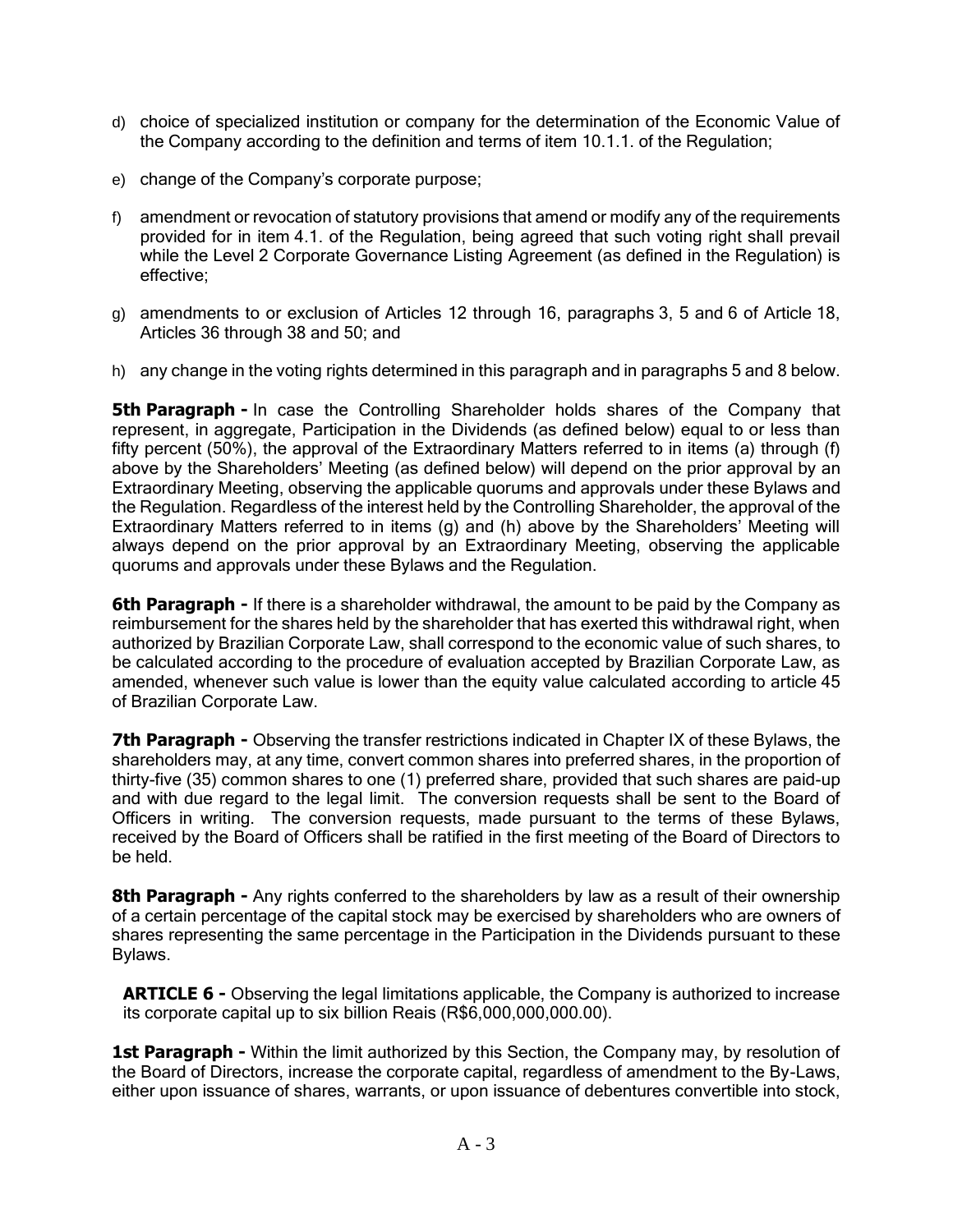- d) choice of specialized institution or company for the determination of the Economic Value of the Company according to the definition and terms of item 10.1.1. of the Regulation;
- e) change of the Company's corporate purpose;
- f) amendment or revocation of statutory provisions that amend or modify any of the requirements provided for in item 4.1. of the Regulation, being agreed that such voting right shall prevail while the Level 2 Corporate Governance Listing Agreement (as defined in the Regulation) is effective;
- g) amendments to or exclusion of Articles 12 through 16, paragraphs 3, 5 and 6 of Article 18, Articles 36 through 38 and 50; and
- h) any change in the voting rights determined in this paragraph and in paragraphs 5 and 8 below.

**5th Paragraph -** In case the Controlling Shareholder holds shares of the Company that represent, in aggregate, Participation in the Dividends (as defined below) equal to or less than fifty percent (50%), the approval of the Extraordinary Matters referred to in items (a) through (f) above by the Shareholders' Meeting (as defined below) will depend on the prior approval by an Extraordinary Meeting, observing the applicable quorums and approvals under these Bylaws and the Regulation. Regardless of the interest held by the Controlling Shareholder, the approval of the Extraordinary Matters referred to in items (g) and (h) above by the Shareholders' Meeting will always depend on the prior approval by an Extraordinary Meeting, observing the applicable quorums and approvals under these Bylaws and the Regulation.

**6th Paragraph -** If there is a shareholder withdrawal, the amount to be paid by the Company as reimbursement for the shares held by the shareholder that has exerted this withdrawal right, when authorized by Brazilian Corporate Law, shall correspond to the economic value of such shares, to be calculated according to the procedure of evaluation accepted by Brazilian Corporate Law, as amended, whenever such value is lower than the equity value calculated according to article 45 of Brazilian Corporate Law.

**7th Paragraph -** Observing the transfer restrictions indicated in Chapter IX of these Bylaws, the shareholders may, at any time, convert common shares into preferred shares, in the proportion of thirty-five (35) common shares to one (1) preferred share, provided that such shares are paid-up and with due regard to the legal limit. The conversion requests shall be sent to the Board of Officers in writing. The conversion requests, made pursuant to the terms of these Bylaws, received by the Board of Officers shall be ratified in the first meeting of the Board of Directors to be held.

**8th Paragraph -** Any rights conferred to the shareholders by law as a result of their ownership of a certain percentage of the capital stock may be exercised by shareholders who are owners of shares representing the same percentage in the Participation in the Dividends pursuant to these Bylaws.

**ARTICLE 6 -** Observing the legal limitations applicable, the Company is authorized to increase its corporate capital up to six billion Reais (R\$6,000,000,000.00).

1st Paragraph - Within the limit authorized by this Section, the Company may, by resolution of the Board of Directors, increase the corporate capital, regardless of amendment to the By-Laws, either upon issuance of shares, warrants, or upon issuance of debentures convertible into stock,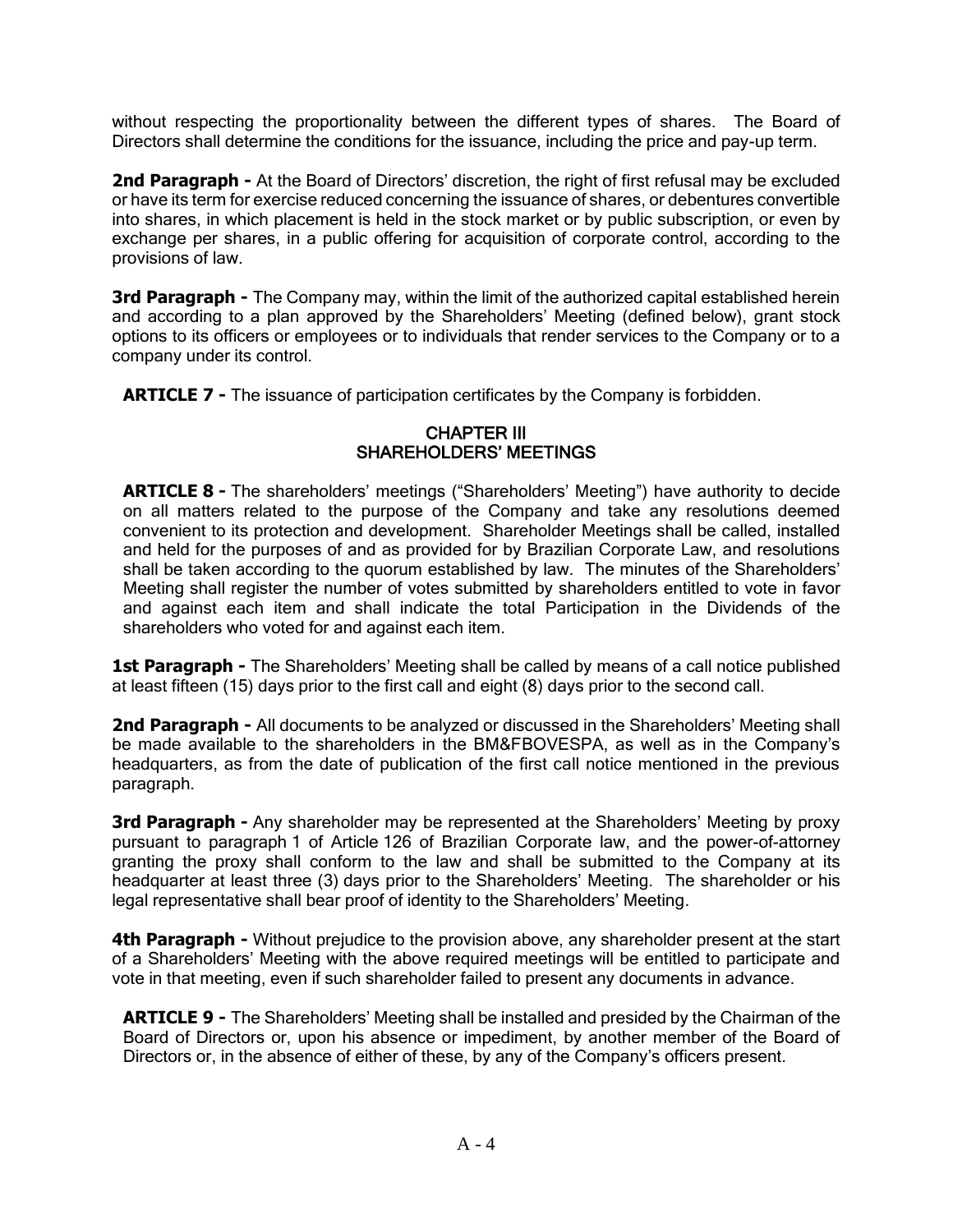without respecting the proportionality between the different types of shares. The Board of Directors shall determine the conditions for the issuance, including the price and pay-up term.

2nd Paragraph - At the Board of Directors' discretion, the right of first refusal may be excluded or have its term for exercise reduced concerning the issuance of shares, or debentures convertible into shares, in which placement is held in the stock market or by public subscription, or even by exchange per shares, in a public offering for acquisition of corporate control, according to the provisions of law.

**3rd Paragraph -** The Company may, within the limit of the authorized capital established herein and according to a plan approved by the Shareholders' Meeting (defined below), grant stock options to its officers or employees or to individuals that render services to the Company or to a company under its control.

**ARTICLE 7 -** The issuance of participation certificates by the Company is forbidden.

### CHAPTER III SHAREHOLDERS' MEETINGS

**ARTICLE 8 -** The shareholders' meetings ("Shareholders' Meeting") have authority to decide on all matters related to the purpose of the Company and take any resolutions deemed convenient to its protection and development. Shareholder Meetings shall be called, installed and held for the purposes of and as provided for by Brazilian Corporate Law, and resolutions shall be taken according to the quorum established by law. The minutes of the Shareholders' Meeting shall register the number of votes submitted by shareholders entitled to vote in favor and against each item and shall indicate the total Participation in the Dividends of the shareholders who voted for and against each item.

**1st Paragraph -** The Shareholders' Meeting shall be called by means of a call notice published at least fifteen (15) days prior to the first call and eight (8) days prior to the second call.

**2nd Paragraph -** All documents to be analyzed or discussed in the Shareholders' Meeting shall be made available to the shareholders in the BM&FBOVESPA, as well as in the Company's headquarters, as from the date of publication of the first call notice mentioned in the previous paragraph.

**3rd Paragraph -** Any shareholder may be represented at the Shareholders' Meeting by proxy pursuant to paragraph 1 of Article 126 of Brazilian Corporate law, and the power-of-attorney granting the proxy shall conform to the law and shall be submitted to the Company at its headquarter at least three (3) days prior to the Shareholders' Meeting. The shareholder or his legal representative shall bear proof of identity to the Shareholders' Meeting.

**4th Paragraph -** Without prejudice to the provision above, any shareholder present at the start of a Shareholders' Meeting with the above required meetings will be entitled to participate and vote in that meeting, even if such shareholder failed to present any documents in advance.

**ARTICLE 9 -** The Shareholders' Meeting shall be installed and presided by the Chairman of the Board of Directors or, upon his absence or impediment, by another member of the Board of Directors or, in the absence of either of these, by any of the Company's officers present.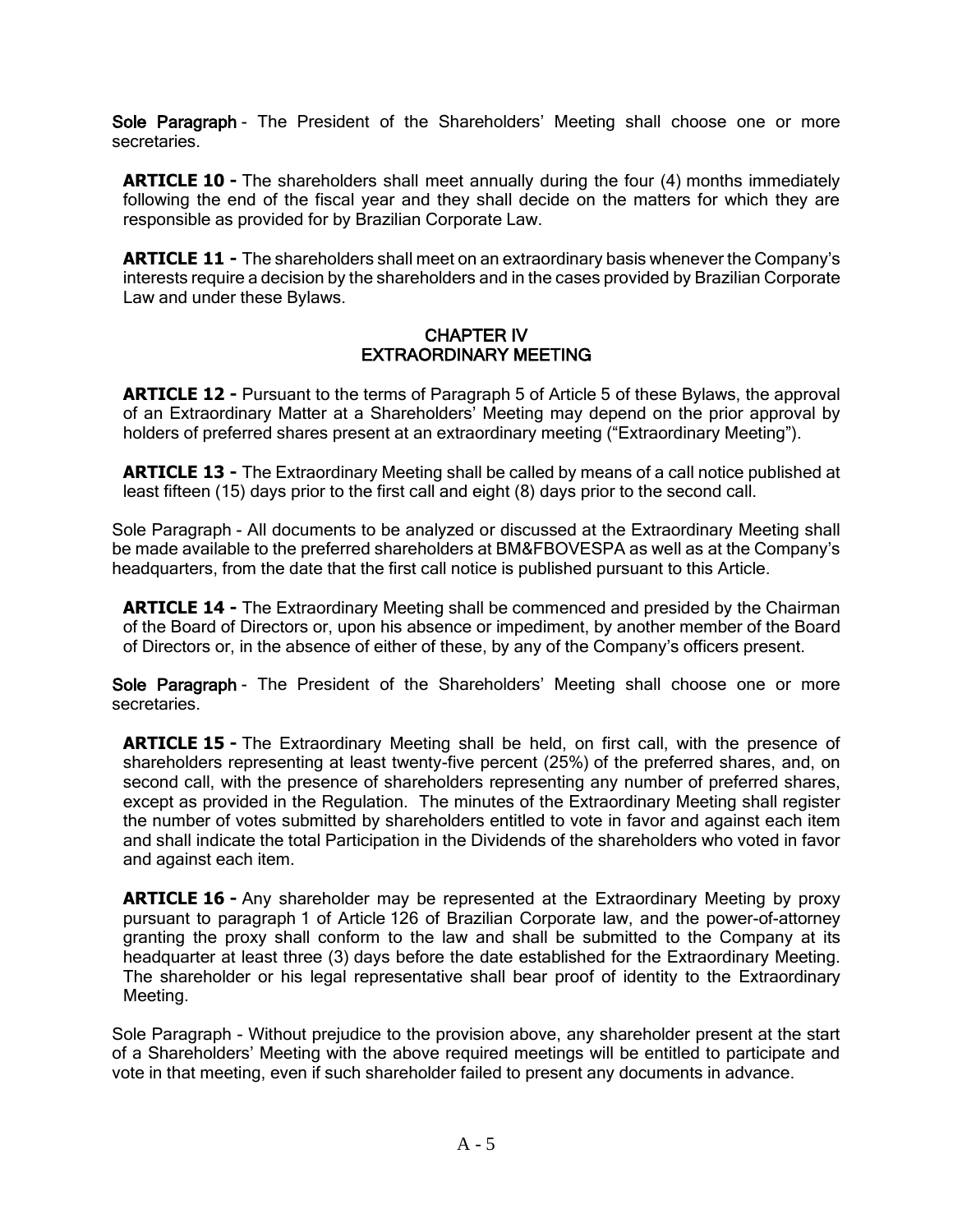Sole Paragraph - The President of the Shareholders' Meeting shall choose one or more secretaries.

**ARTICLE 10 -** The shareholders shall meet annually during the four (4) months immediately following the end of the fiscal year and they shall decide on the matters for which they are responsible as provided for by Brazilian Corporate Law.

**ARTICLE 11 -** The shareholders shall meet on an extraordinary basis whenever the Company's interests require a decision by the shareholders and in the cases provided by Brazilian Corporate Law and under these Bylaws.

# CHAPTER IV EXTRAORDINARY MEETING

**ARTICLE 12 -** Pursuant to the terms of Paragraph 5 of Article 5 of these Bylaws, the approval of an Extraordinary Matter at a Shareholders' Meeting may depend on the prior approval by holders of preferred shares present at an extraordinary meeting ("Extraordinary Meeting").

**ARTICLE 13 -** The Extraordinary Meeting shall be called by means of a call notice published at least fifteen (15) days prior to the first call and eight (8) days prior to the second call.

Sole Paragraph - All documents to be analyzed or discussed at the Extraordinary Meeting shall be made available to the preferred shareholders at BM&FBOVESPA as well as at the Company's headquarters, from the date that the first call notice is published pursuant to this Article.

**ARTICLE 14 -** The Extraordinary Meeting shall be commenced and presided by the Chairman of the Board of Directors or, upon his absence or impediment, by another member of the Board of Directors or, in the absence of either of these, by any of the Company's officers present.

Sole Paragraph - The President of the Shareholders' Meeting shall choose one or more secretaries.

**ARTICLE 15 -** The Extraordinary Meeting shall be held, on first call, with the presence of shareholders representing at least twenty-five percent (25%) of the preferred shares, and, on second call, with the presence of shareholders representing any number of preferred shares, except as provided in the Regulation. The minutes of the Extraordinary Meeting shall register the number of votes submitted by shareholders entitled to vote in favor and against each item and shall indicate the total Participation in the Dividends of the shareholders who voted in favor and against each item.

**ARTICLE 16 -** Any shareholder may be represented at the Extraordinary Meeting by proxy pursuant to paragraph 1 of Article 126 of Brazilian Corporate law, and the power-of-attorney granting the proxy shall conform to the law and shall be submitted to the Company at its headquarter at least three (3) days before the date established for the Extraordinary Meeting. The shareholder or his legal representative shall bear proof of identity to the Extraordinary Meeting.

Sole Paragraph - Without prejudice to the provision above, any shareholder present at the start of a Shareholders' Meeting with the above required meetings will be entitled to participate and vote in that meeting, even if such shareholder failed to present any documents in advance.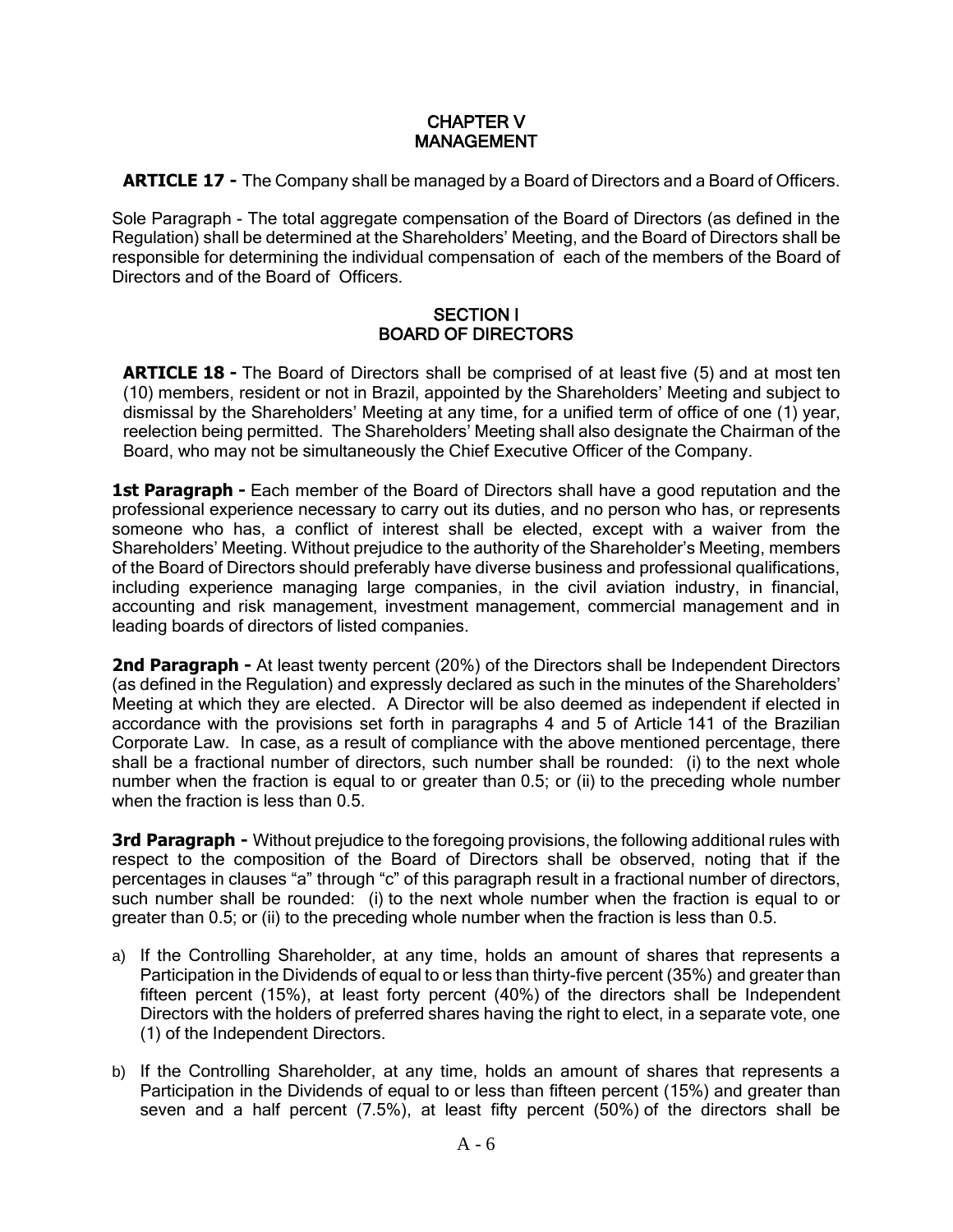# CHAPTER V MANAGEMENT

**ARTICLE 17 -** The Company shall be managed by a Board of Directors and a Board of Officers.

Sole Paragraph - The total aggregate compensation of the Board of Directors (as defined in the Regulation) shall be determined at the Shareholders' Meeting, and the Board of Directors shall be responsible for determining the individual compensation of each of the members of the Board of Directors and of the Board of Officers.

### SECTION I BOARD OF DIRECTORS

**ARTICLE 18 -** The Board of Directors shall be comprised of at least five (5) and at most ten (10) members, resident or not in Brazil, appointed by the Shareholders' Meeting and subject to dismissal by the Shareholders' Meeting at any time, for a unified term of office of one (1) year, reelection being permitted. The Shareholders' Meeting shall also designate the Chairman of the Board, who may not be simultaneously the Chief Executive Officer of the Company.

**1st Paragraph -** Each member of the Board of Directors shall have a good reputation and the professional experience necessary to carry out its duties, and no person who has, or represents someone who has, a conflict of interest shall be elected, except with a waiver from the Shareholders' Meeting. Without prejudice to the authority of the Shareholder's Meeting, members of the Board of Directors should preferably have diverse business and professional qualifications, including experience managing large companies, in the civil aviation industry, in financial, accounting and risk management, investment management, commercial management and in leading boards of directors of listed companies.

**2nd Paragraph -** At least twenty percent (20%) of the Directors shall be Independent Directors (as defined in the Regulation) and expressly declared as such in the minutes of the Shareholders' Meeting at which they are elected. A Director will be also deemed as independent if elected in accordance with the provisions set forth in paragraphs 4 and 5 of Article 141 of the Brazilian Corporate Law. In case, as a result of compliance with the above mentioned percentage, there shall be a fractional number of directors, such number shall be rounded: (i) to the next whole number when the fraction is equal to or greater than 0.5; or (ii) to the preceding whole number when the fraction is less than 0.5.

**3rd Paragraph -** Without prejudice to the foregoing provisions, the following additional rules with respect to the composition of the Board of Directors shall be observed, noting that if the percentages in clauses "a" through "c" of this paragraph result in a fractional number of directors, such number shall be rounded: (i) to the next whole number when the fraction is equal to or greater than 0.5; or (ii) to the preceding whole number when the fraction is less than 0.5.

- a) If the Controlling Shareholder, at any time, holds an amount of shares that represents a Participation in the Dividends of equal to or less than thirty-five percent (35%) and greater than fifteen percent (15%), at least forty percent (40%) of the directors shall be Independent Directors with the holders of preferred shares having the right to elect, in a separate vote, one (1) of the Independent Directors.
- b) If the Controlling Shareholder, at any time, holds an amount of shares that represents a Participation in the Dividends of equal to or less than fifteen percent (15%) and greater than seven and a half percent (7.5%), at least fifty percent (50%) of the directors shall be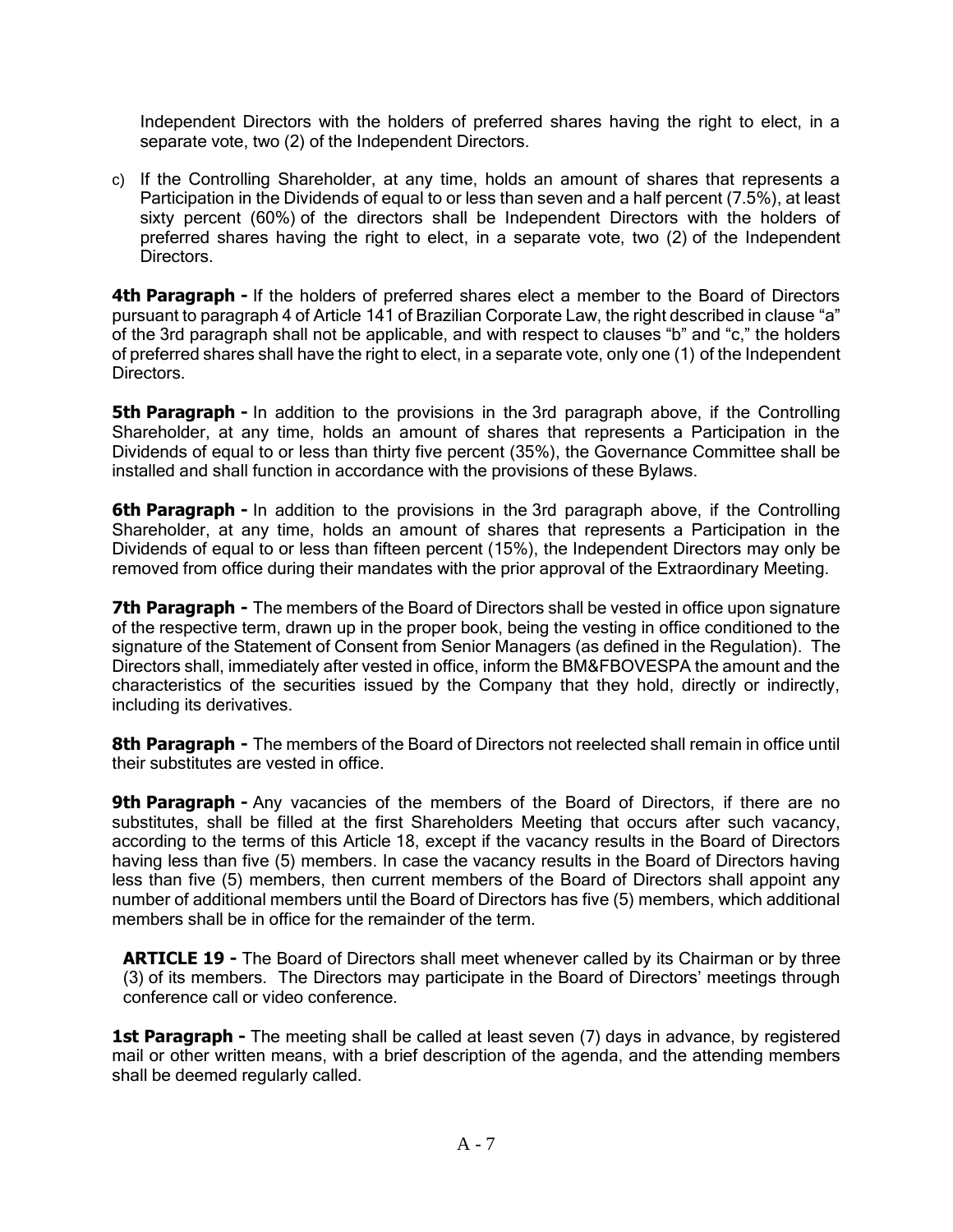Independent Directors with the holders of preferred shares having the right to elect, in a separate vote, two (2) of the Independent Directors.

c) If the Controlling Shareholder, at any time, holds an amount of shares that represents a Participation in the Dividends of equal to or less than seven and a half percent (7.5%), at least sixty percent (60%) of the directors shall be Independent Directors with the holders of preferred shares having the right to elect, in a separate vote, two (2) of the Independent Directors.

**4th Paragraph -** If the holders of preferred shares elect a member to the Board of Directors pursuant to paragraph 4 of Article 141 of Brazilian Corporate Law, the right described in clause "a" of the 3rd paragraph shall not be applicable, and with respect to clauses "b" and "c," the holders of preferred shares shall have the right to elect, in a separate vote, only one (1) of the Independent Directors.

**5th Paragraph -** In addition to the provisions in the 3rd paragraph above, if the Controlling Shareholder, at any time, holds an amount of shares that represents a Participation in the Dividends of equal to or less than thirty five percent (35%), the Governance Committee shall be installed and shall function in accordance with the provisions of these Bylaws.

**6th Paragraph -** In addition to the provisions in the 3rd paragraph above, if the Controlling Shareholder, at any time, holds an amount of shares that represents a Participation in the Dividends of equal to or less than fifteen percent (15%), the Independent Directors may only be removed from office during their mandates with the prior approval of the Extraordinary Meeting.

**7th Paragraph -** The members of the Board of Directors shall be vested in office upon signature of the respective term, drawn up in the proper book, being the vesting in office conditioned to the signature of the Statement of Consent from Senior Managers (as defined in the Regulation). The Directors shall, immediately after vested in office, inform the BM&FBOVESPA the amount and the characteristics of the securities issued by the Company that they hold, directly or indirectly, including its derivatives.

**8th Paragraph -** The members of the Board of Directors not reelected shall remain in office until their substitutes are vested in office.

**9th Paragraph -** Any vacancies of the members of the Board of Directors, if there are no substitutes, shall be filled at the first Shareholders Meeting that occurs after such vacancy, according to the terms of this Article 18, except if the vacancy results in the Board of Directors having less than five (5) members. In case the vacancy results in the Board of Directors having less than five (5) members, then current members of the Board of Directors shall appoint any number of additional members until the Board of Directors has five (5) members, which additional members shall be in office for the remainder of the term.

**ARTICLE 19 -** The Board of Directors shall meet whenever called by its Chairman or by three (3) of its members. The Directors may participate in the Board of Directors' meetings through conference call or video conference.

**1st Paragraph -** The meeting shall be called at least seven (7) days in advance, by registered mail or other written means, with a brief description of the agenda, and the attending members shall be deemed regularly called.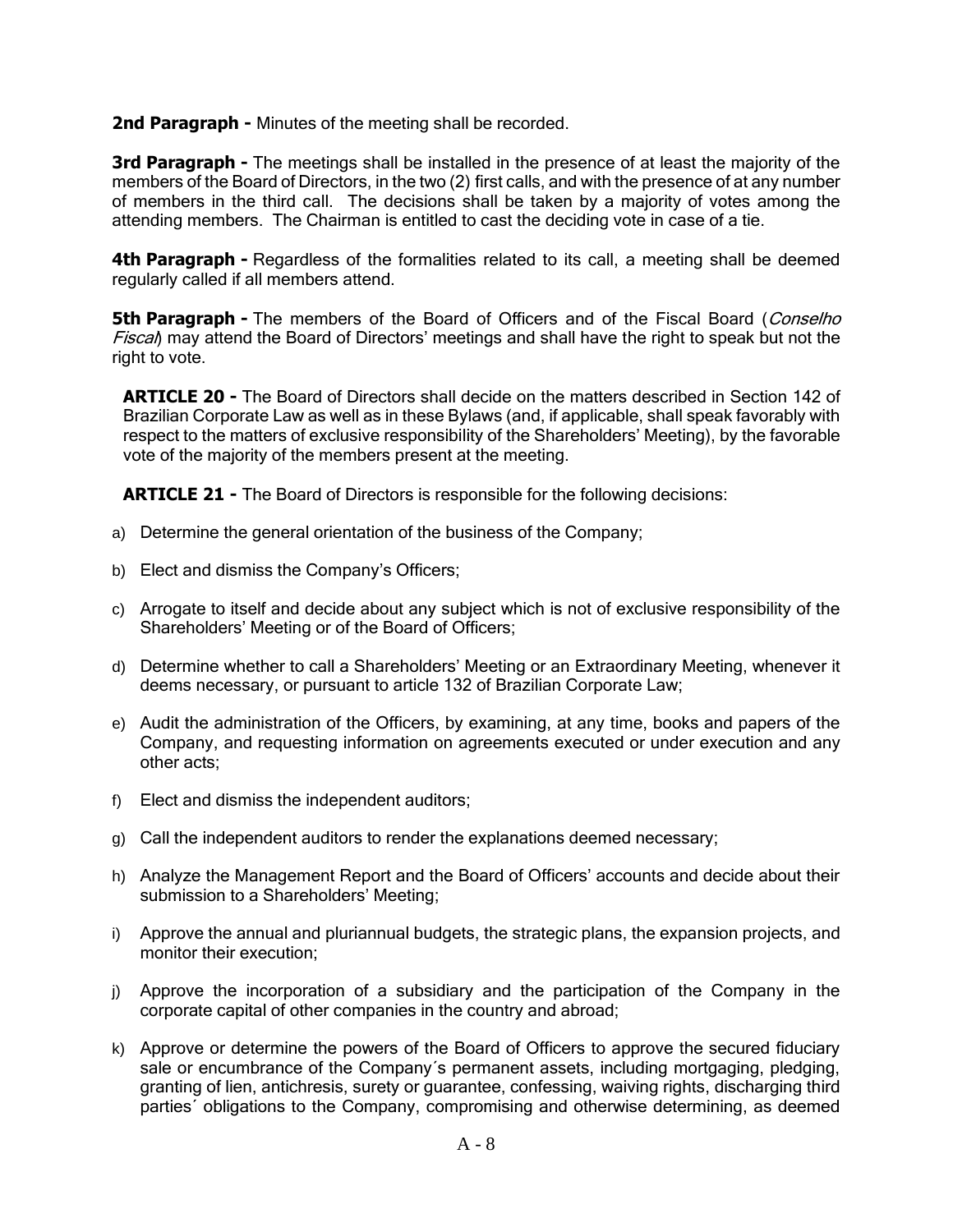**2nd Paragraph -** Minutes of the meeting shall be recorded.

**3rd Paragraph -** The meetings shall be installed in the presence of at least the majority of the members of the Board of Directors, in the two (2) first calls, and with the presence of at any number of members in the third call. The decisions shall be taken by a majority of votes among the attending members. The Chairman is entitled to cast the deciding vote in case of a tie.

**4th Paragraph -** Regardless of the formalities related to its call, a meeting shall be deemed regularly called if all members attend.

**5th Paragraph -** The members of the Board of Officers and of the Fiscal Board (Conselho **Fiscal**) may attend the Board of Directors' meetings and shall have the right to speak but not the right to vote.

**ARTICLE 20 -** The Board of Directors shall decide on the matters described in Section 142 of Brazilian Corporate Law as well as in these Bylaws (and, if applicable, shall speak favorably with respect to the matters of exclusive responsibility of the Shareholders' Meeting), by the favorable vote of the majority of the members present at the meeting.

**ARTICLE 21 -** The Board of Directors is responsible for the following decisions:

- a) Determine the general orientation of the business of the Company;
- b) Elect and dismiss the Company's Officers;
- c) Arrogate to itself and decide about any subject which is not of exclusive responsibility of the Shareholders' Meeting or of the Board of Officers;
- d) Determine whether to call a Shareholders' Meeting or an Extraordinary Meeting, whenever it deems necessary, or pursuant to article 132 of Brazilian Corporate Law;
- e) Audit the administration of the Officers, by examining, at any time, books and papers of the Company, and requesting information on agreements executed or under execution and any other acts;
- f) Elect and dismiss the independent auditors;
- g) Call the independent auditors to render the explanations deemed necessary;
- h) Analyze the Management Report and the Board of Officers' accounts and decide about their submission to a Shareholders' Meeting;
- i) Approve the annual and pluriannual budgets, the strategic plans, the expansion projects, and monitor their execution;
- j) Approve the incorporation of a subsidiary and the participation of the Company in the corporate capital of other companies in the country and abroad;
- k) Approve or determine the powers of the Board of Officers to approve the secured fiduciary sale or encumbrance of the Company´s permanent assets, including mortgaging, pledging, granting of lien, antichresis, surety or guarantee, confessing, waiving rights, discharging third parties´ obligations to the Company, compromising and otherwise determining, as deemed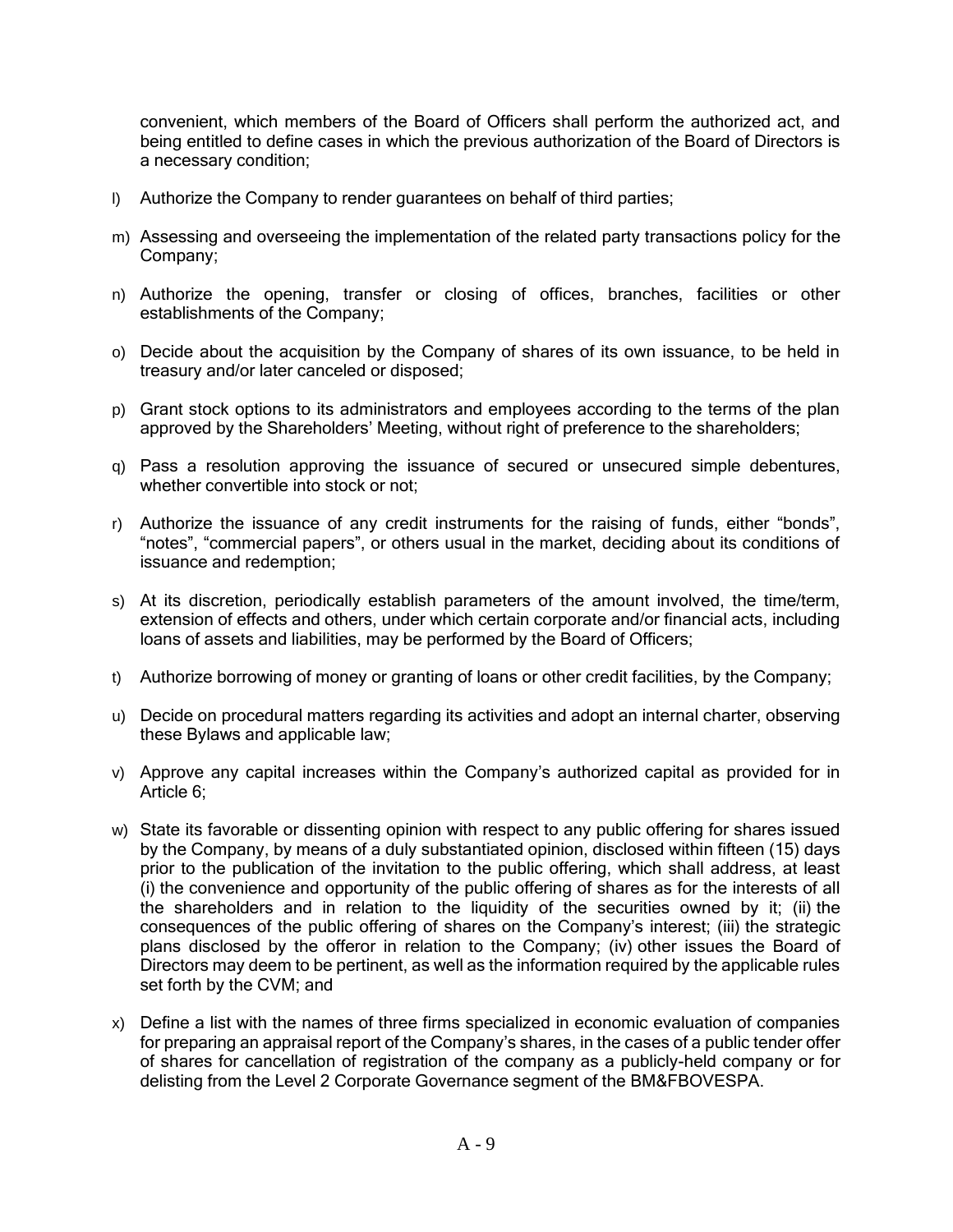convenient, which members of the Board of Officers shall perform the authorized act, and being entitled to define cases in which the previous authorization of the Board of Directors is a necessary condition;

- l) Authorize the Company to render guarantees on behalf of third parties;
- m) Assessing and overseeing the implementation of the related party transactions policy for the Company;
- n) Authorize the opening, transfer or closing of offices, branches, facilities or other establishments of the Company;
- o) Decide about the acquisition by the Company of shares of its own issuance, to be held in treasury and/or later canceled or disposed;
- p) Grant stock options to its administrators and employees according to the terms of the plan approved by the Shareholders' Meeting, without right of preference to the shareholders;
- q) Pass a resolution approving the issuance of secured or unsecured simple debentures, whether convertible into stock or not:
- r) Authorize the issuance of any credit instruments for the raising of funds, either "bonds", "notes", "commercial papers", or others usual in the market, deciding about its conditions of issuance and redemption;
- s) At its discretion, periodically establish parameters of the amount involved, the time/term, extension of effects and others, under which certain corporate and/or financial acts, including loans of assets and liabilities, may be performed by the Board of Officers;
- t) Authorize borrowing of money or granting of loans or other credit facilities, by the Company;
- u) Decide on procedural matters regarding its activities and adopt an internal charter, observing these Bylaws and applicable law;
- v) Approve any capital increases within the Company's authorized capital as provided for in Article 6;
- w) State its favorable or dissenting opinion with respect to any public offering for shares issued by the Company, by means of a duly substantiated opinion, disclosed within fifteen (15) days prior to the publication of the invitation to the public offering, which shall address, at least (i) the convenience and opportunity of the public offering of shares as for the interests of all the shareholders and in relation to the liquidity of the securities owned by it; (ii) the consequences of the public offering of shares on the Company's interest; (iii) the strategic plans disclosed by the offeror in relation to the Company; (iv) other issues the Board of Directors may deem to be pertinent, as well as the information required by the applicable rules set forth by the CVM; and
- x) Define a list with the names of three firms specialized in economic evaluation of companies for preparing an appraisal report of the Company's shares, in the cases of a public tender offer of shares for cancellation of registration of the company as a publicly-held company or for delisting from the Level 2 Corporate Governance segment of the BM&FBOVESPA.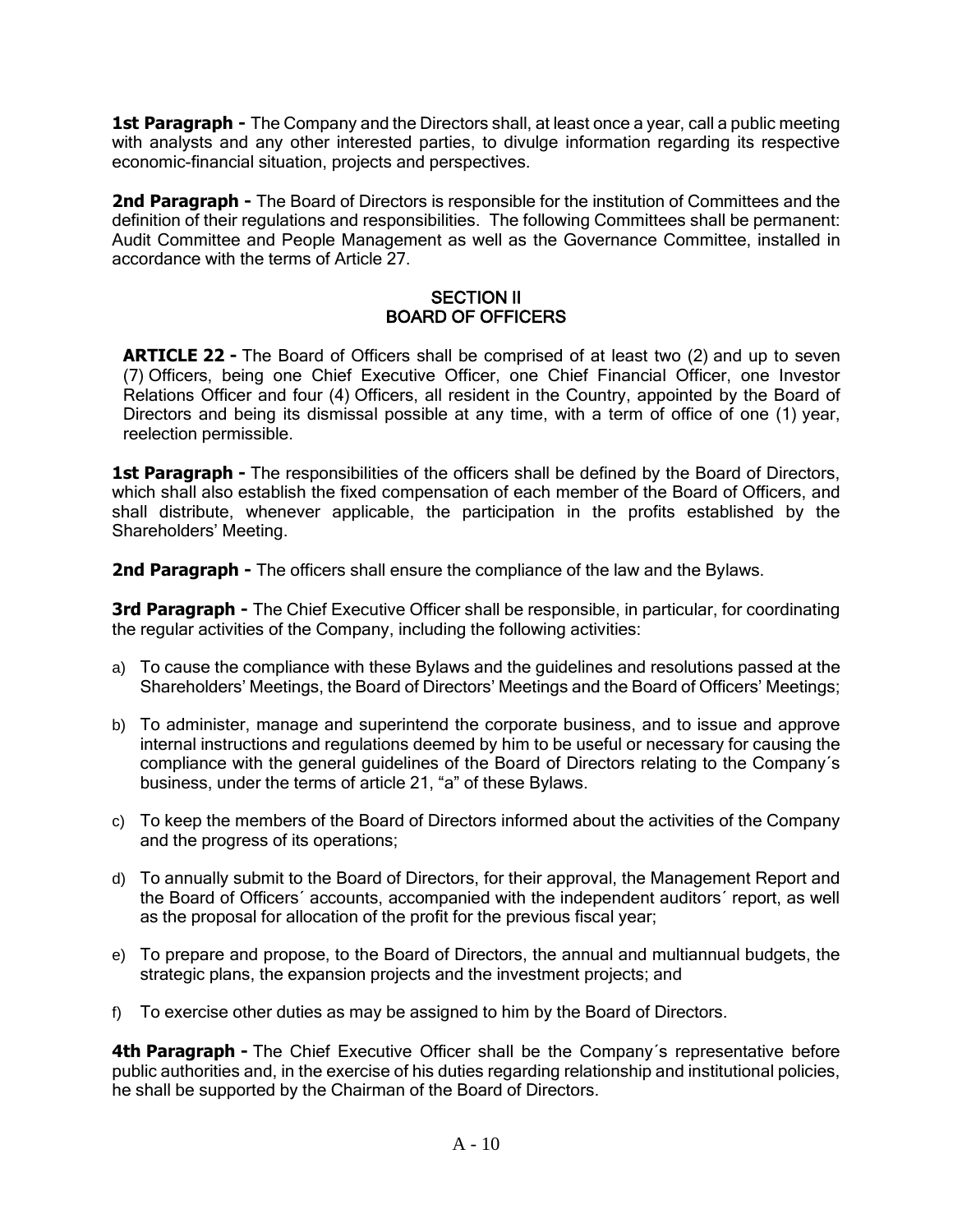1st Paragraph - The Company and the Directors shall, at least once a year, call a public meeting with analysts and any other interested parties, to divulge information regarding its respective economic-financial situation, projects and perspectives.

**2nd Paragraph -** The Board of Directors is responsible for the institution of Committees and the definition of their regulations and responsibilities. The following Committees shall be permanent: Audit Committee and People Management as well as the Governance Committee, installed in accordance with the terms of Article 27.

### SECTION II BOARD OF OFFICERS

**ARTICLE 22 -** The Board of Officers shall be comprised of at least two (2) and up to seven (7) Officers, being one Chief Executive Officer, one Chief Financial Officer, one Investor Relations Officer and four (4) Officers, all resident in the Country, appointed by the Board of Directors and being its dismissal possible at any time, with a term of office of one (1) year, reelection permissible.

**1st Paragraph -** The responsibilities of the officers shall be defined by the Board of Directors, which shall also establish the fixed compensation of each member of the Board of Officers, and shall distribute, whenever applicable, the participation in the profits established by the Shareholders' Meeting.

**2nd Paragraph -** The officers shall ensure the compliance of the law and the Bylaws.

**3rd Paragraph -** The Chief Executive Officer shall be responsible, in particular, for coordinating the regular activities of the Company, including the following activities:

- a) To cause the compliance with these Bylaws and the guidelines and resolutions passed at the Shareholders' Meetings, the Board of Directors' Meetings and the Board of Officers' Meetings;
- b) To administer, manage and superintend the corporate business, and to issue and approve internal instructions and regulations deemed by him to be useful or necessary for causing the compliance with the general guidelines of the Board of Directors relating to the Company´s business, under the terms of article 21, "a" of these Bylaws.
- c) To keep the members of the Board of Directors informed about the activities of the Company and the progress of its operations;
- d) To annually submit to the Board of Directors, for their approval, the Management Report and the Board of Officers´ accounts, accompanied with the independent auditors´ report, as well as the proposal for allocation of the profit for the previous fiscal year;
- e) To prepare and propose, to the Board of Directors, the annual and multiannual budgets, the strategic plans, the expansion projects and the investment projects; and
- f) To exercise other duties as may be assigned to him by the Board of Directors.

**4th Paragraph -** The Chief Executive Officer shall be the Company's representative before public authorities and, in the exercise of his duties regarding relationship and institutional policies, he shall be supported by the Chairman of the Board of Directors.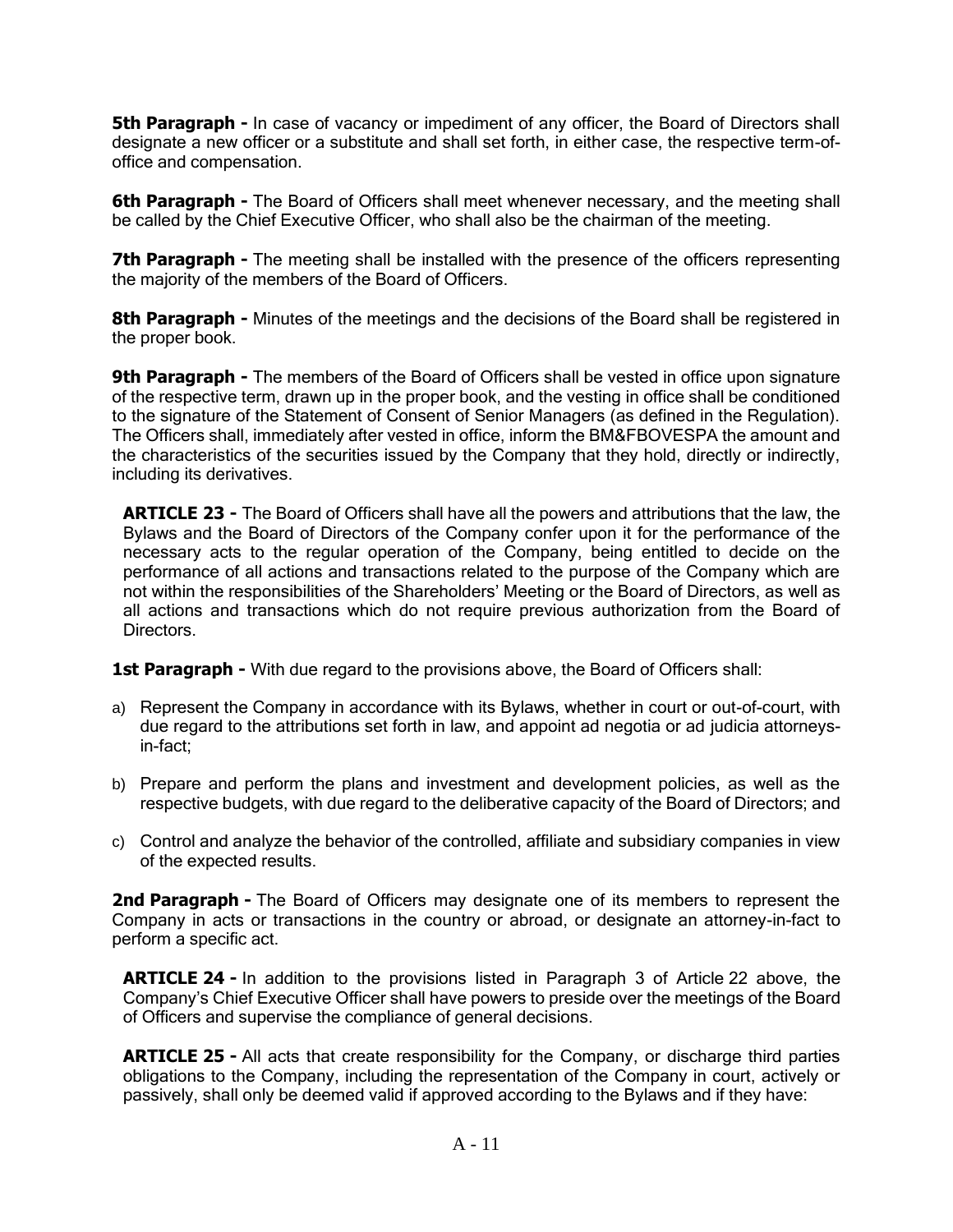**5th Paragraph -** In case of vacancy or impediment of any officer, the Board of Directors shall designate a new officer or a substitute and shall set forth, in either case, the respective term-ofoffice and compensation.

**6th Paragraph -** The Board of Officers shall meet whenever necessary, and the meeting shall be called by the Chief Executive Officer, who shall also be the chairman of the meeting.

**7th Paragraph -** The meeting shall be installed with the presence of the officers representing the majority of the members of the Board of Officers.

**8th Paragraph -** Minutes of the meetings and the decisions of the Board shall be registered in the proper book.

**9th Paragraph -** The members of the Board of Officers shall be vested in office upon signature of the respective term, drawn up in the proper book, and the vesting in office shall be conditioned to the signature of the Statement of Consent of Senior Managers (as defined in the Regulation). The Officers shall, immediately after vested in office, inform the BM&FBOVESPA the amount and the characteristics of the securities issued by the Company that they hold, directly or indirectly, including its derivatives.

**ARTICLE 23 -** The Board of Officers shall have all the powers and attributions that the law, the Bylaws and the Board of Directors of the Company confer upon it for the performance of the necessary acts to the regular operation of the Company, being entitled to decide on the performance of all actions and transactions related to the purpose of the Company which are not within the responsibilities of the Shareholders' Meeting or the Board of Directors, as well as all actions and transactions which do not require previous authorization from the Board of Directors.

**1st Paragraph -** With due regard to the provisions above, the Board of Officers shall:

- a) Represent the Company in accordance with its Bylaws, whether in court or out-of-court, with due regard to the attributions set forth in law, and appoint ad negotia or ad judicia attorneysin-fact;
- b) Prepare and perform the plans and investment and development policies, as well as the respective budgets, with due regard to the deliberative capacity of the Board of Directors; and
- c) Control and analyze the behavior of the controlled, affiliate and subsidiary companies in view of the expected results.

**2nd Paragraph -** The Board of Officers may designate one of its members to represent the Company in acts or transactions in the country or abroad, or designate an attorney-in-fact to perform a specific act.

**ARTICLE 24 -** In addition to the provisions listed in Paragraph 3 of Article 22 above, the Company's Chief Executive Officer shall have powers to preside over the meetings of the Board of Officers and supervise the compliance of general decisions.

**ARTICLE 25 -** All acts that create responsibility for the Company, or discharge third parties obligations to the Company, including the representation of the Company in court, actively or passively, shall only be deemed valid if approved according to the Bylaws and if they have: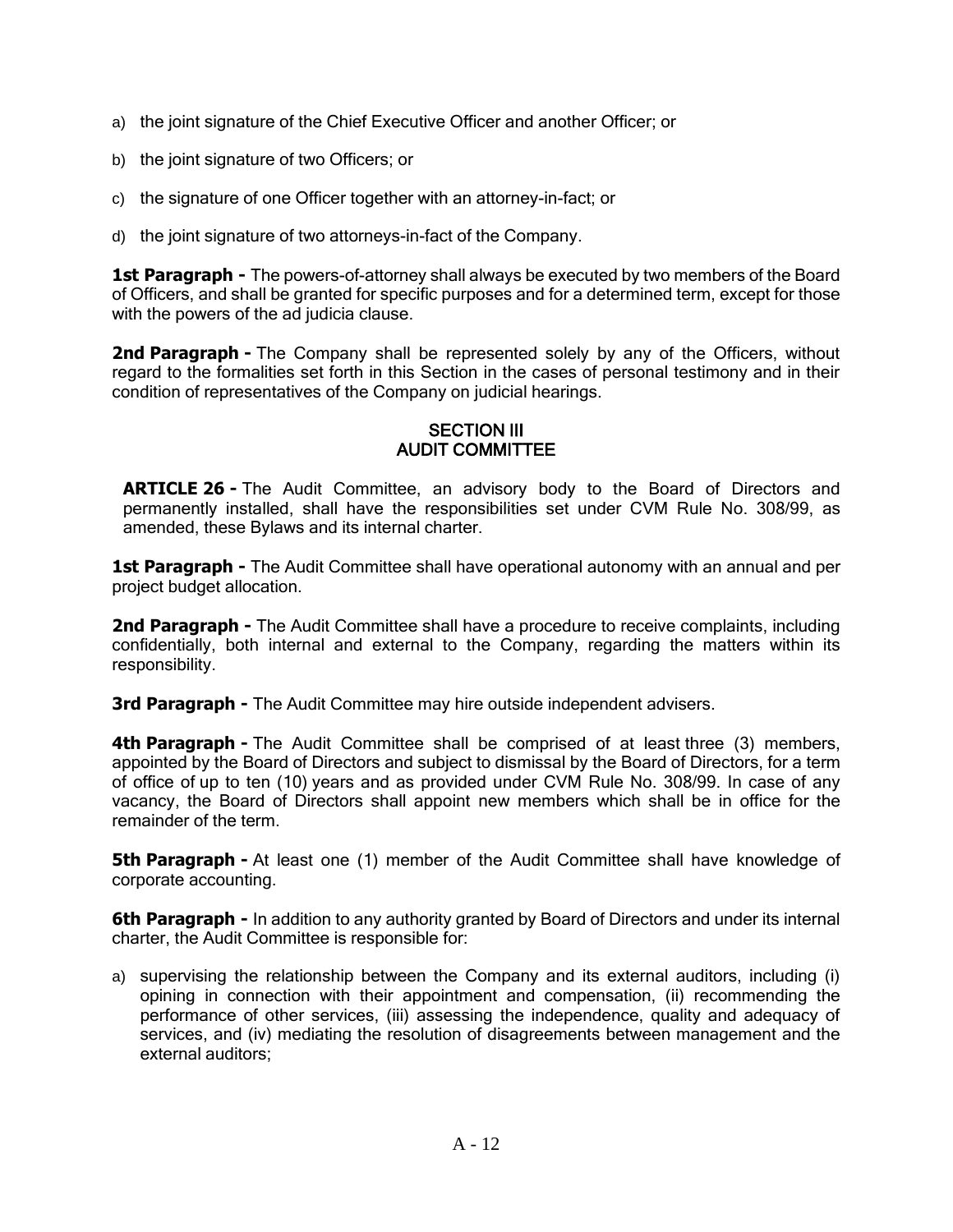- a) the joint signature of the Chief Executive Officer and another Officer; or
- b) the joint signature of two Officers; or
- c) the signature of one Officer together with an attorney-in-fact; or
- d) the joint signature of two attorneys-in-fact of the Company.

**1st Paragraph -** The powers-of-attorney shall always be executed by two members of the Board of Officers, and shall be granted for specific purposes and for a determined term, except for those with the powers of the ad judicia clause.

**2nd Paragraph -** The Company shall be represented solely by any of the Officers, without regard to the formalities set forth in this Section in the cases of personal testimony and in their condition of representatives of the Company on judicial hearings.

### **SECTION III** AUDIT COMMITTEE

**ARTICLE 26 -** The Audit Committee, an advisory body to the Board of Directors and permanently installed, shall have the responsibilities set under CVM Rule No. 308/99, as amended, these Bylaws and its internal charter.

**1st Paragraph -** The Audit Committee shall have operational autonomy with an annual and per project budget allocation.

**2nd Paragraph -** The Audit Committee shall have a procedure to receive complaints, including confidentially, both internal and external to the Company, regarding the matters within its responsibility.

**3rd Paragraph -** The Audit Committee may hire outside independent advisers.

**4th Paragraph -** The Audit Committee shall be comprised of at least three (3) members, appointed by the Board of Directors and subject to dismissal by the Board of Directors, for a term of office of up to ten (10) years and as provided under CVM Rule No. 308/99. In case of any vacancy, the Board of Directors shall appoint new members which shall be in office for the remainder of the term.

**5th Paragraph -** At least one (1) member of the Audit Committee shall have knowledge of corporate accounting.

**6th Paragraph -** In addition to any authority granted by Board of Directors and under its internal charter, the Audit Committee is responsible for:

a) supervising the relationship between the Company and its external auditors, including (i) opining in connection with their appointment and compensation, (ii) recommending the performance of other services, (iii) assessing the independence, quality and adequacy of services, and (iv) mediating the resolution of disagreements between management and the external auditors;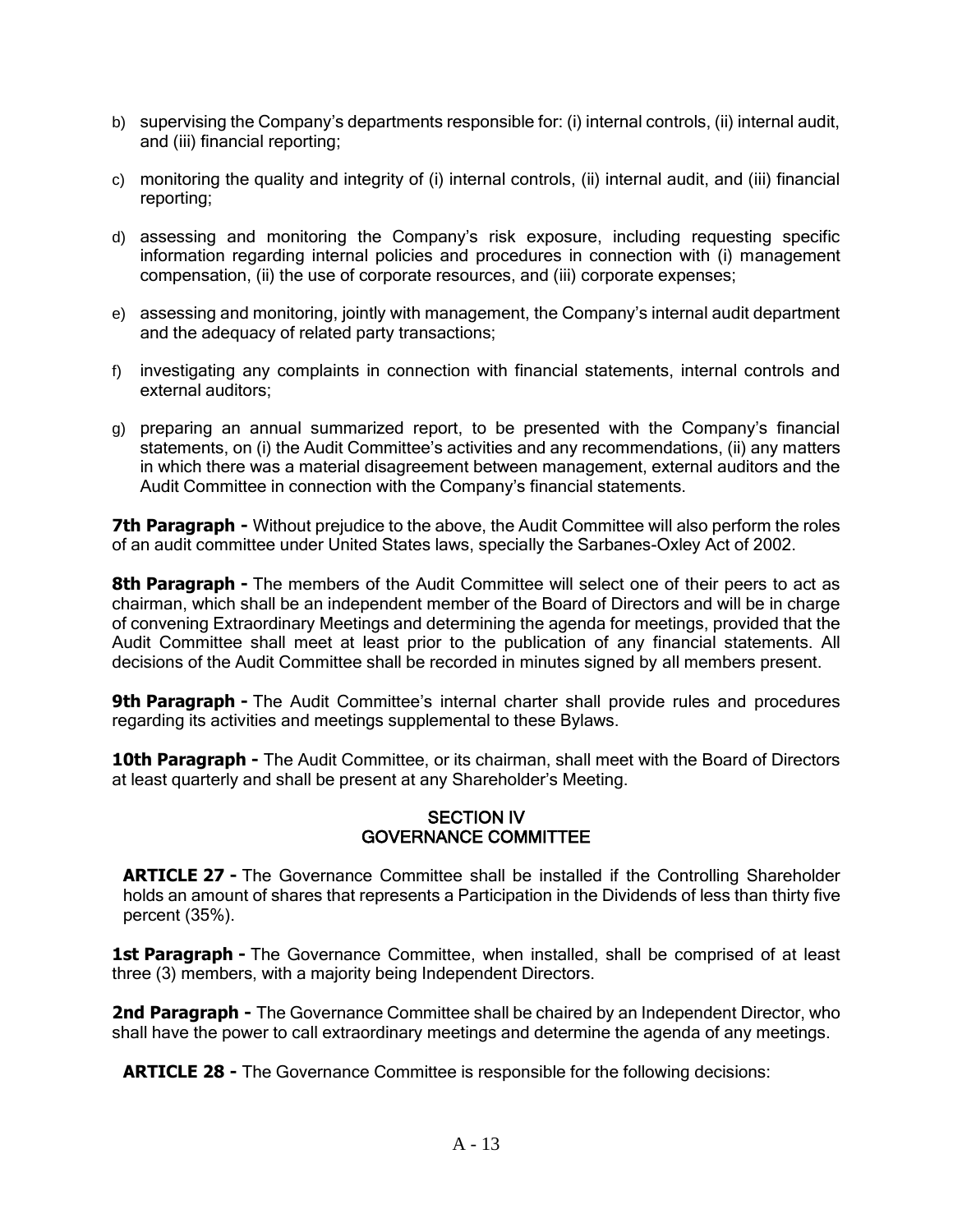- b) supervising the Company's departments responsible for: (i) internal controls, (ii) internal audit, and (iii) financial reporting;
- c) monitoring the quality and integrity of (i) internal controls, (ii) internal audit, and (iii) financial reporting;
- d) assessing and monitoring the Company's risk exposure, including requesting specific information regarding internal policies and procedures in connection with (i) management compensation, (ii) the use of corporate resources, and (iii) corporate expenses;
- e) assessing and monitoring, jointly with management, the Company's internal audit department and the adequacy of related party transactions;
- f) investigating any complaints in connection with financial statements, internal controls and external auditors;
- g) preparing an annual summarized report, to be presented with the Company's financial statements, on (i) the Audit Committee's activities and any recommendations, (ii) any matters in which there was a material disagreement between management, external auditors and the Audit Committee in connection with the Company's financial statements.

**7th Paragraph -** Without prejudice to the above, the Audit Committee will also perform the roles of an audit committee under United States laws, specially the Sarbanes-Oxley Act of 2002.

**8th Paragraph -** The members of the Audit Committee will select one of their peers to act as chairman, which shall be an independent member of the Board of Directors and will be in charge of convening Extraordinary Meetings and determining the agenda for meetings, provided that the Audit Committee shall meet at least prior to the publication of any financial statements. All decisions of the Audit Committee shall be recorded in minutes signed by all members present.

**9th Paragraph -** The Audit Committee's internal charter shall provide rules and procedures regarding its activities and meetings supplemental to these Bylaws.

**10th Paragraph -** The Audit Committee, or its chairman, shall meet with the Board of Directors at least quarterly and shall be present at any Shareholder's Meeting.

### SECTION IV GOVERNANCE COMMITTEE

**ARTICLE 27 -** The Governance Committee shall be installed if the Controlling Shareholder holds an amount of shares that represents a Participation in the Dividends of less than thirty five percent (35%).

**1st Paragraph -** The Governance Committee, when installed, shall be comprised of at least three (3) members, with a majority being Independent Directors.

**2nd Paragraph -** The Governance Committee shall be chaired by an Independent Director, who shall have the power to call extraordinary meetings and determine the agenda of any meetings.

**ARTICLE 28 -** The Governance Committee is responsible for the following decisions: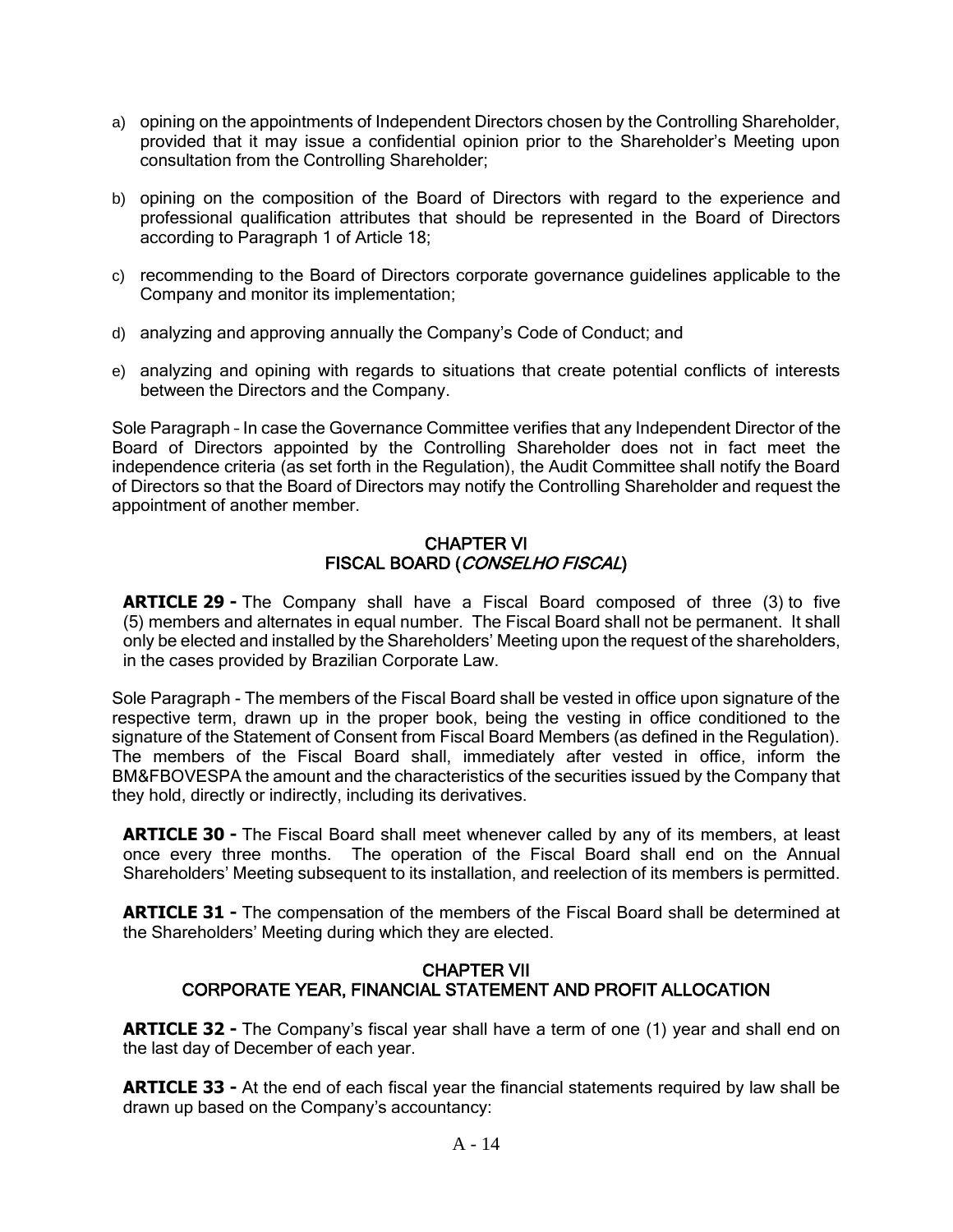- a) opining on the appointments of Independent Directors chosen by the Controlling Shareholder, provided that it may issue a confidential opinion prior to the Shareholder's Meeting upon consultation from the Controlling Shareholder;
- b) opining on the composition of the Board of Directors with regard to the experience and professional qualification attributes that should be represented in the Board of Directors according to Paragraph 1 of Article 18;
- c) recommending to the Board of Directors corporate governance guidelines applicable to the Company and monitor its implementation;
- d) analyzing and approving annually the Company's Code of Conduct; and
- e) analyzing and opining with regards to situations that create potential conflicts of interests between the Directors and the Company.

Sole Paragraph – In case the Governance Committee verifies that any Independent Director of the Board of Directors appointed by the Controlling Shareholder does not in fact meet the independence criteria (as set forth in the Regulation), the Audit Committee shall notify the Board of Directors so that the Board of Directors may notify the Controlling Shareholder and request the appointment of another member.

### CHAPTER VI FISCAL BOARD (CONSELHO FISCAL)

**ARTICLE 29 -** The Company shall have a Fiscal Board composed of three (3) to five (5) members and alternates in equal number. The Fiscal Board shall not be permanent. It shall only be elected and installed by the Shareholders' Meeting upon the request of the shareholders, in the cases provided by Brazilian Corporate Law.

Sole Paragraph - The members of the Fiscal Board shall be vested in office upon signature of the respective term, drawn up in the proper book, being the vesting in office conditioned to the signature of the Statement of Consent from Fiscal Board Members (as defined in the Regulation). The members of the Fiscal Board shall, immediately after vested in office, inform the BM&FBOVESPA the amount and the characteristics of the securities issued by the Company that they hold, directly or indirectly, including its derivatives.

**ARTICLE 30 -** The Fiscal Board shall meet whenever called by any of its members, at least once every three months. The operation of the Fiscal Board shall end on the Annual Shareholders' Meeting subsequent to its installation, and reelection of its members is permitted.

**ARTICLE 31 -** The compensation of the members of the Fiscal Board shall be determined at the Shareholders' Meeting during which they are elected.

### CHAPTER VII CORPORATE YEAR, FINANCIAL STATEMENT AND PROFIT ALLOCATION

**ARTICLE 32 -** The Company's fiscal year shall have a term of one (1) year and shall end on the last day of December of each year.

**ARTICLE 33 -** At the end of each fiscal year the financial statements required by law shall be drawn up based on the Company's accountancy: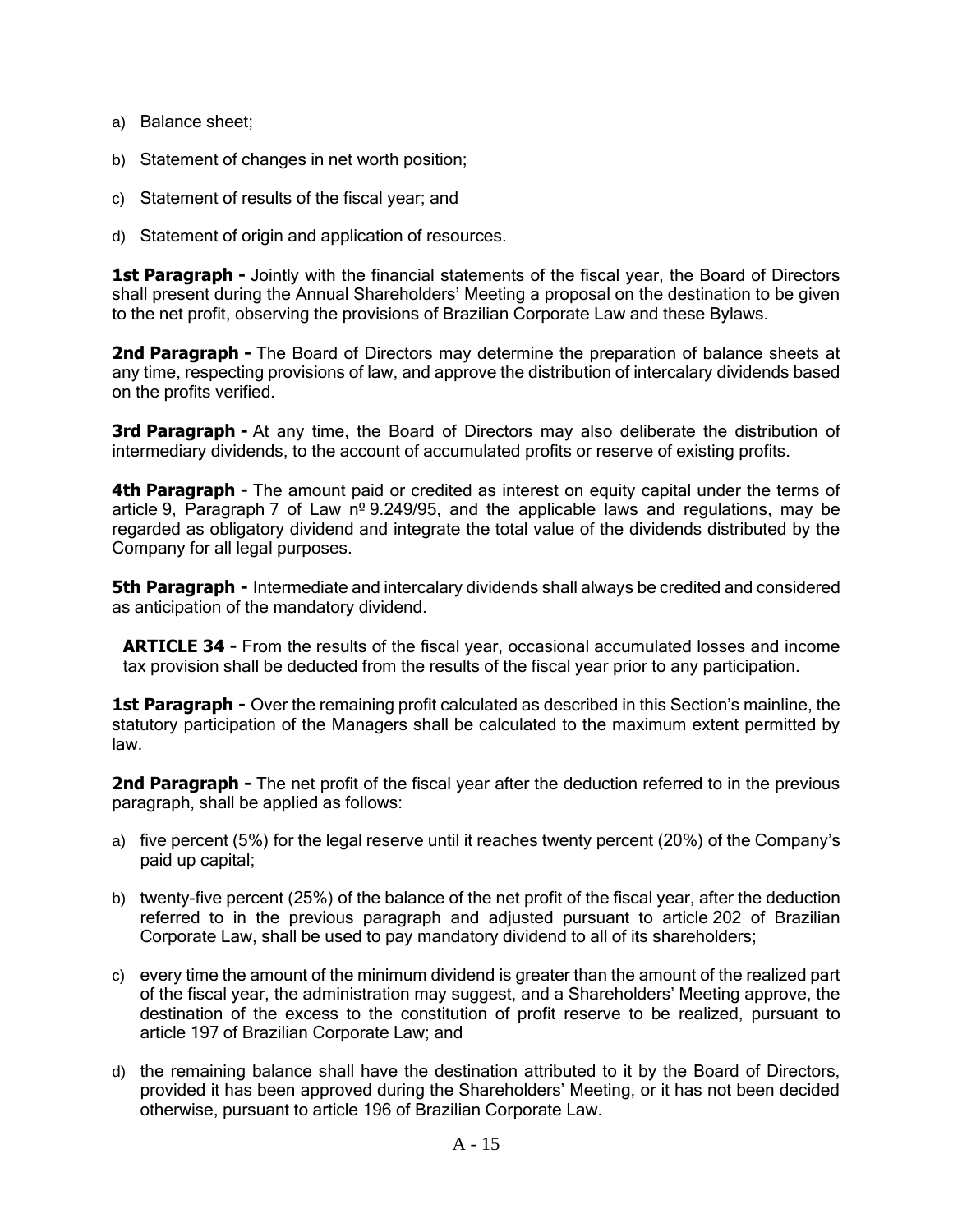- a) Balance sheet;
- b) Statement of changes in net worth position;
- c) Statement of results of the fiscal year; and
- d) Statement of origin and application of resources.

**1st Paragraph -** Jointly with the financial statements of the fiscal year, the Board of Directors shall present during the Annual Shareholders' Meeting a proposal on the destination to be given to the net profit, observing the provisions of Brazilian Corporate Law and these Bylaws.

**2nd Paragraph -** The Board of Directors may determine the preparation of balance sheets at any time, respecting provisions of law, and approve the distribution of intercalary dividends based on the profits verified.

**3rd Paragraph -** At any time, the Board of Directors may also deliberate the distribution of intermediary dividends, to the account of accumulated profits or reserve of existing profits.

**4th Paragraph -** The amount paid or credited as interest on equity capital under the terms of article 9, Paragraph 7 of Law  $n^{\circ}$  9.249/95, and the applicable laws and regulations, may be regarded as obligatory dividend and integrate the total value of the dividends distributed by the Company for all legal purposes.

**5th Paragraph -** Intermediate and intercalary dividends shall always be credited and considered as anticipation of the mandatory dividend.

**ARTICLE 34 -** From the results of the fiscal year, occasional accumulated losses and income tax provision shall be deducted from the results of the fiscal year prior to any participation.

**1st Paragraph -** Over the remaining profit calculated as described in this Section's mainline, the statutory participation of the Managers shall be calculated to the maximum extent permitted by law.

**2nd Paragraph -** The net profit of the fiscal year after the deduction referred to in the previous paragraph, shall be applied as follows:

- a) five percent (5%) for the legal reserve until it reaches twenty percent (20%) of the Company's paid up capital;
- b) twenty-five percent (25%) of the balance of the net profit of the fiscal year, after the deduction referred to in the previous paragraph and adjusted pursuant to article 202 of Brazilian Corporate Law, shall be used to pay mandatory dividend to all of its shareholders;
- c) every time the amount of the minimum dividend is greater than the amount of the realized part of the fiscal year, the administration may suggest, and a Shareholders' Meeting approve, the destination of the excess to the constitution of profit reserve to be realized, pursuant to article 197 of Brazilian Corporate Law; and
- d) the remaining balance shall have the destination attributed to it by the Board of Directors, provided it has been approved during the Shareholders' Meeting, or it has not been decided otherwise, pursuant to article 196 of Brazilian Corporate Law.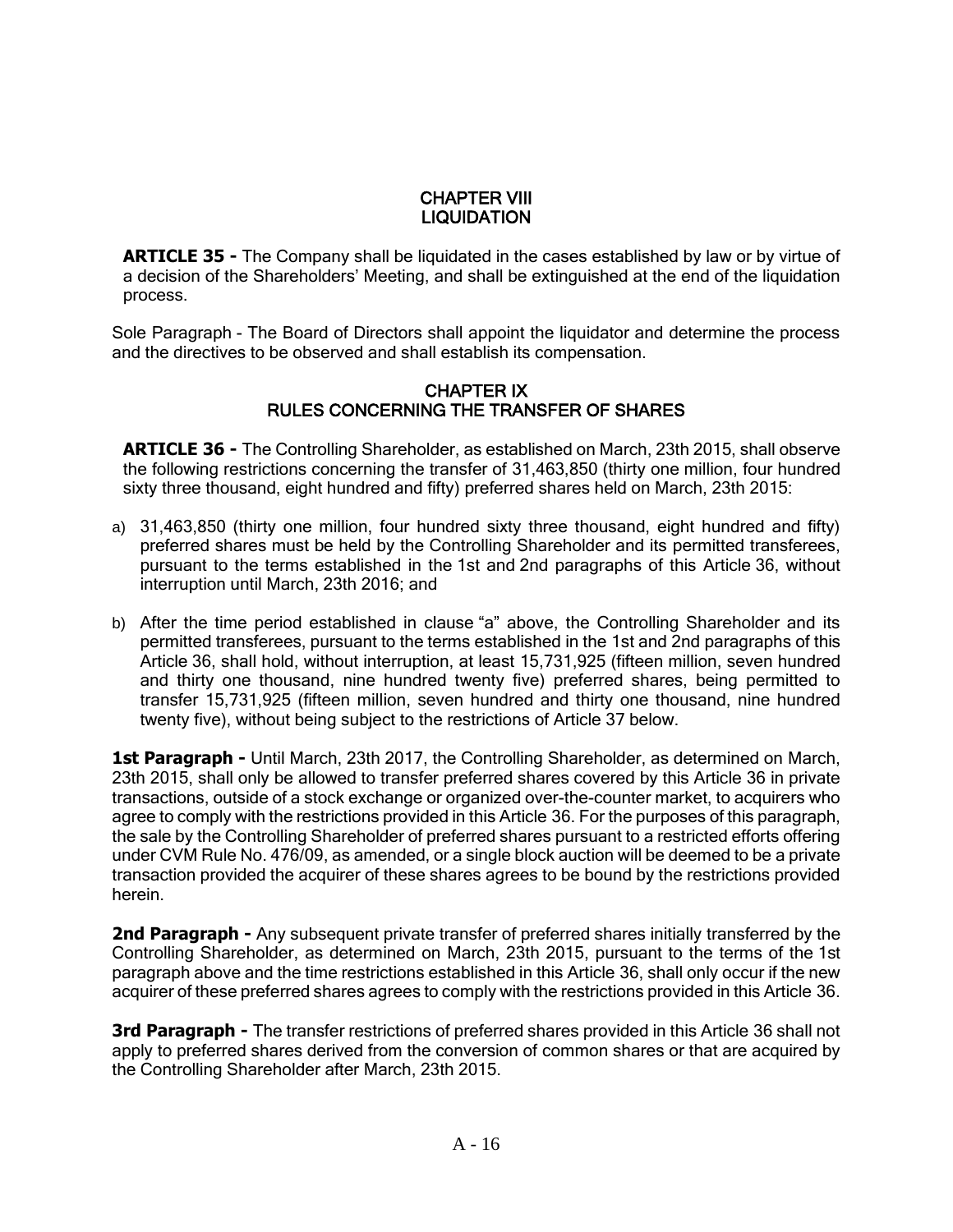# CHAPTER VIII **LIQUIDATION**

**ARTICLE 35 -** The Company shall be liquidated in the cases established by law or by virtue of a decision of the Shareholders' Meeting, and shall be extinguished at the end of the liquidation process.

Sole Paragraph - The Board of Directors shall appoint the liquidator and determine the process and the directives to be observed and shall establish its compensation.

### CHAPTER IX RULES CONCERNING THE TRANSFER OF SHARES

**ARTICLE 36 -** The Controlling Shareholder, as established on March, 23th 2015, shall observe the following restrictions concerning the transfer of 31,463,850 (thirty one million, four hundred sixty three thousand, eight hundred and fifty) preferred shares held on March, 23th 2015:

- a) 31,463,850 (thirty one million, four hundred sixty three thousand, eight hundred and fifty) preferred shares must be held by the Controlling Shareholder and its permitted transferees, pursuant to the terms established in the 1st and 2nd paragraphs of this Article 36, without interruption until March, 23th 2016; and
- b) After the time period established in clause "a" above, the Controlling Shareholder and its permitted transferees, pursuant to the terms established in the 1st and 2nd paragraphs of this Article 36, shall hold, without interruption, at least 15,731,925 (fifteen million, seven hundred and thirty one thousand, nine hundred twenty five) preferred shares, being permitted to transfer 15,731,925 (fifteen million, seven hundred and thirty one thousand, nine hundred twenty five), without being subject to the restrictions of Article 37 below.

**1st Paragraph -** Until March, 23th 2017, the Controlling Shareholder, as determined on March, 23th 2015, shall only be allowed to transfer preferred shares covered by this Article 36 in private transactions, outside of a stock exchange or organized over-the-counter market, to acquirers who agree to comply with the restrictions provided in this Article 36. For the purposes of this paragraph, the sale by the Controlling Shareholder of preferred shares pursuant to a restricted efforts offering under CVM Rule No. 476/09, as amended, or a single block auction will be deemed to be a private transaction provided the acquirer of these shares agrees to be bound by the restrictions provided herein.

**2nd Paragraph -** Any subsequent private transfer of preferred shares initially transferred by the Controlling Shareholder, as determined on March, 23th 2015, pursuant to the terms of the 1st paragraph above and the time restrictions established in this Article 36, shall only occur if the new acquirer of these preferred shares agrees to comply with the restrictions provided in this Article 36.

**3rd Paragraph -** The transfer restrictions of preferred shares provided in this Article 36 shall not apply to preferred shares derived from the conversion of common shares or that are acquired by the Controlling Shareholder after March, 23th 2015.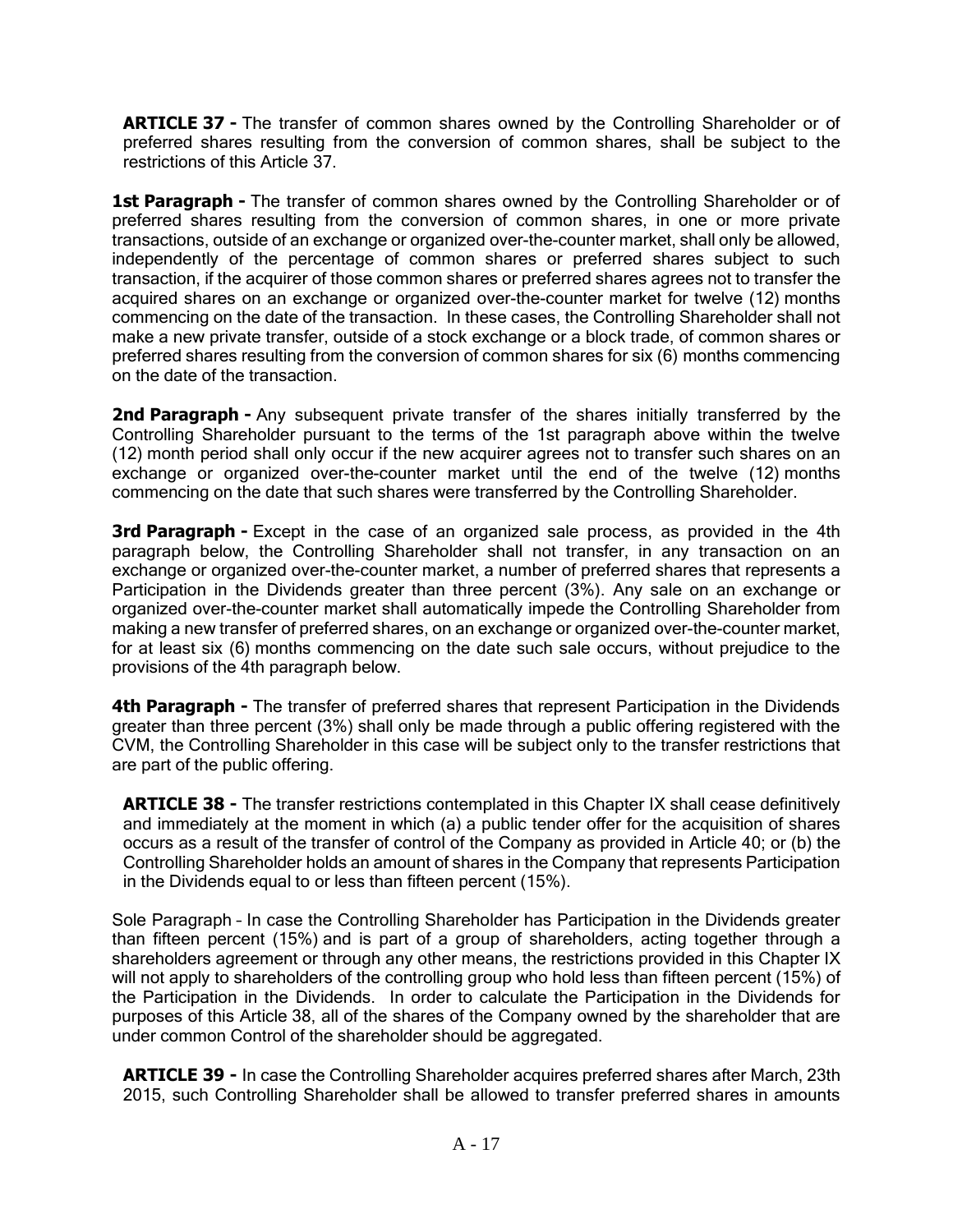**ARTICLE 37 -** The transfer of common shares owned by the Controlling Shareholder or of preferred shares resulting from the conversion of common shares, shall be subject to the restrictions of this Article 37.

**1st Paragraph -** The transfer of common shares owned by the Controlling Shareholder or of preferred shares resulting from the conversion of common shares, in one or more private transactions, outside of an exchange or organized over-the-counter market, shall only be allowed, independently of the percentage of common shares or preferred shares subject to such transaction, if the acquirer of those common shares or preferred shares agrees not to transfer the acquired shares on an exchange or organized over-the-counter market for twelve (12) months commencing on the date of the transaction. In these cases, the Controlling Shareholder shall not make a new private transfer, outside of a stock exchange or a block trade, of common shares or preferred shares resulting from the conversion of common shares for six (6) months commencing on the date of the transaction.

2nd Paragraph - Any subsequent private transfer of the shares initially transferred by the Controlling Shareholder pursuant to the terms of the 1st paragraph above within the twelve (12) month period shall only occur if the new acquirer agrees not to transfer such shares on an exchange or organized over-the-counter market until the end of the twelve (12) months commencing on the date that such shares were transferred by the Controlling Shareholder.

**3rd Paragraph -** Except in the case of an organized sale process, as provided in the 4th paragraph below, the Controlling Shareholder shall not transfer, in any transaction on an exchange or organized over-the-counter market, a number of preferred shares that represents a Participation in the Dividends greater than three percent (3%). Any sale on an exchange or organized over-the-counter market shall automatically impede the Controlling Shareholder from making a new transfer of preferred shares, on an exchange or organized over-the-counter market, for at least six (6) months commencing on the date such sale occurs, without prejudice to the provisions of the 4th paragraph below.

**4th Paragraph -** The transfer of preferred shares that represent Participation in the Dividends greater than three percent (3%) shall only be made through a public offering registered with the CVM, the Controlling Shareholder in this case will be subject only to the transfer restrictions that are part of the public offering.

**ARTICLE 38 -** The transfer restrictions contemplated in this Chapter IX shall cease definitively and immediately at the moment in which (a) a public tender offer for the acquisition of shares occurs as a result of the transfer of control of the Company as provided in Article 40; or (b) the Controlling Shareholder holds an amount of shares in the Company that represents Participation in the Dividends equal to or less than fifteen percent (15%).

Sole Paragraph – In case the Controlling Shareholder has Participation in the Dividends greater than fifteen percent (15%) and is part of a group of shareholders, acting together through a shareholders agreement or through any other means, the restrictions provided in this Chapter IX will not apply to shareholders of the controlling group who hold less than fifteen percent (15%) of the Participation in the Dividends. In order to calculate the Participation in the Dividends for purposes of this Article 38, all of the shares of the Company owned by the shareholder that are under common Control of the shareholder should be aggregated.

**ARTICLE 39 -** In case the Controlling Shareholder acquires preferred shares after March, 23th 2015, such Controlling Shareholder shall be allowed to transfer preferred shares in amounts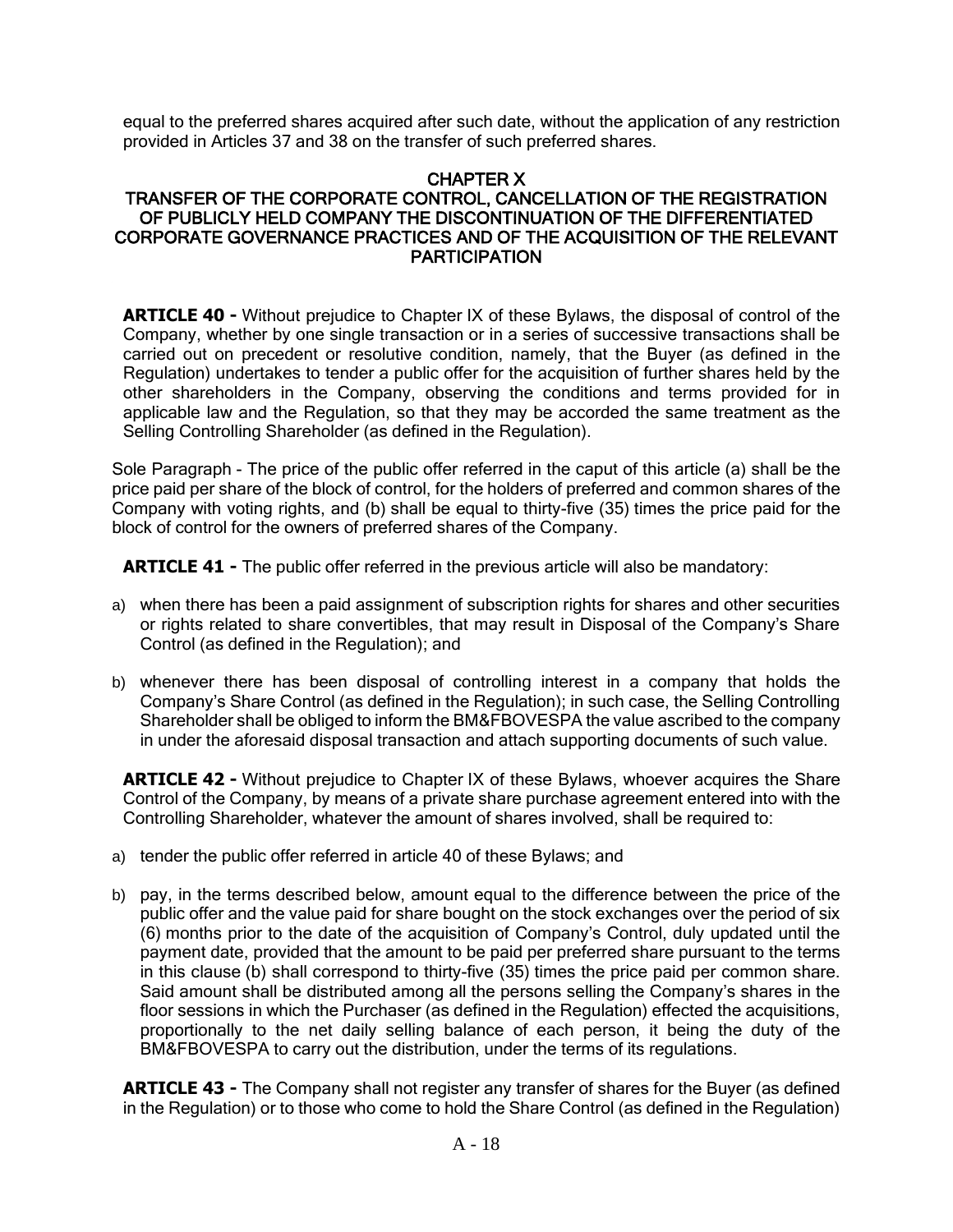equal to the preferred shares acquired after such date, without the application of any restriction provided in Articles 37 and 38 on the transfer of such preferred shares.

# CHAPTER X

# TRANSFER OF THE CORPORATE CONTROL, CANCELLATION OF THE REGISTRATION OF PUBLICLY HELD COMPANY THE DISCONTINUATION OF THE DIFFERENTIATED CORPORATE GOVERNANCE PRACTICES AND OF THE ACQUISITION OF THE RELEVANT **PARTICIPATION**

**ARTICLE 40 -** Without prejudice to Chapter IX of these Bylaws, the disposal of control of the Company, whether by one single transaction or in a series of successive transactions shall be carried out on precedent or resolutive condition, namely, that the Buyer (as defined in the Regulation) undertakes to tender a public offer for the acquisition of further shares held by the other shareholders in the Company, observing the conditions and terms provided for in applicable law and the Regulation, so that they may be accorded the same treatment as the Selling Controlling Shareholder (as defined in the Regulation).

Sole Paragraph - The price of the public offer referred in the caput of this article (a) shall be the price paid per share of the block of control, for the holders of preferred and common shares of the Company with voting rights, and (b) shall be equal to thirty-five (35) times the price paid for the block of control for the owners of preferred shares of the Company.

**ARTICLE 41 -** The public offer referred in the previous article will also be mandatory:

- a) when there has been a paid assignment of subscription rights for shares and other securities or rights related to share convertibles, that may result in Disposal of the Company's Share Control (as defined in the Regulation); and
- b) whenever there has been disposal of controlling interest in a company that holds the Company's Share Control (as defined in the Regulation); in such case, the Selling Controlling Shareholder shall be obliged to inform the BM&FBOVESPA the value ascribed to the company in under the aforesaid disposal transaction and attach supporting documents of such value.

**ARTICLE 42 -** Without prejudice to Chapter IX of these Bylaws, whoever acquires the Share Control of the Company, by means of a private share purchase agreement entered into with the Controlling Shareholder, whatever the amount of shares involved, shall be required to:

- a) tender the public offer referred in article 40 of these Bylaws; and
- b) pay, in the terms described below, amount equal to the difference between the price of the public offer and the value paid for share bought on the stock exchanges over the period of six (6) months prior to the date of the acquisition of Company's Control, duly updated until the payment date, provided that the amount to be paid per preferred share pursuant to the terms in this clause (b) shall correspond to thirty-five (35) times the price paid per common share. Said amount shall be distributed among all the persons selling the Company's shares in the floor sessions in which the Purchaser (as defined in the Regulation) effected the acquisitions, proportionally to the net daily selling balance of each person, it being the duty of the BM&FBOVESPA to carry out the distribution, under the terms of its regulations.

**ARTICLE 43 -** The Company shall not register any transfer of shares for the Buyer (as defined in the Regulation) or to those who come to hold the Share Control (as defined in the Regulation)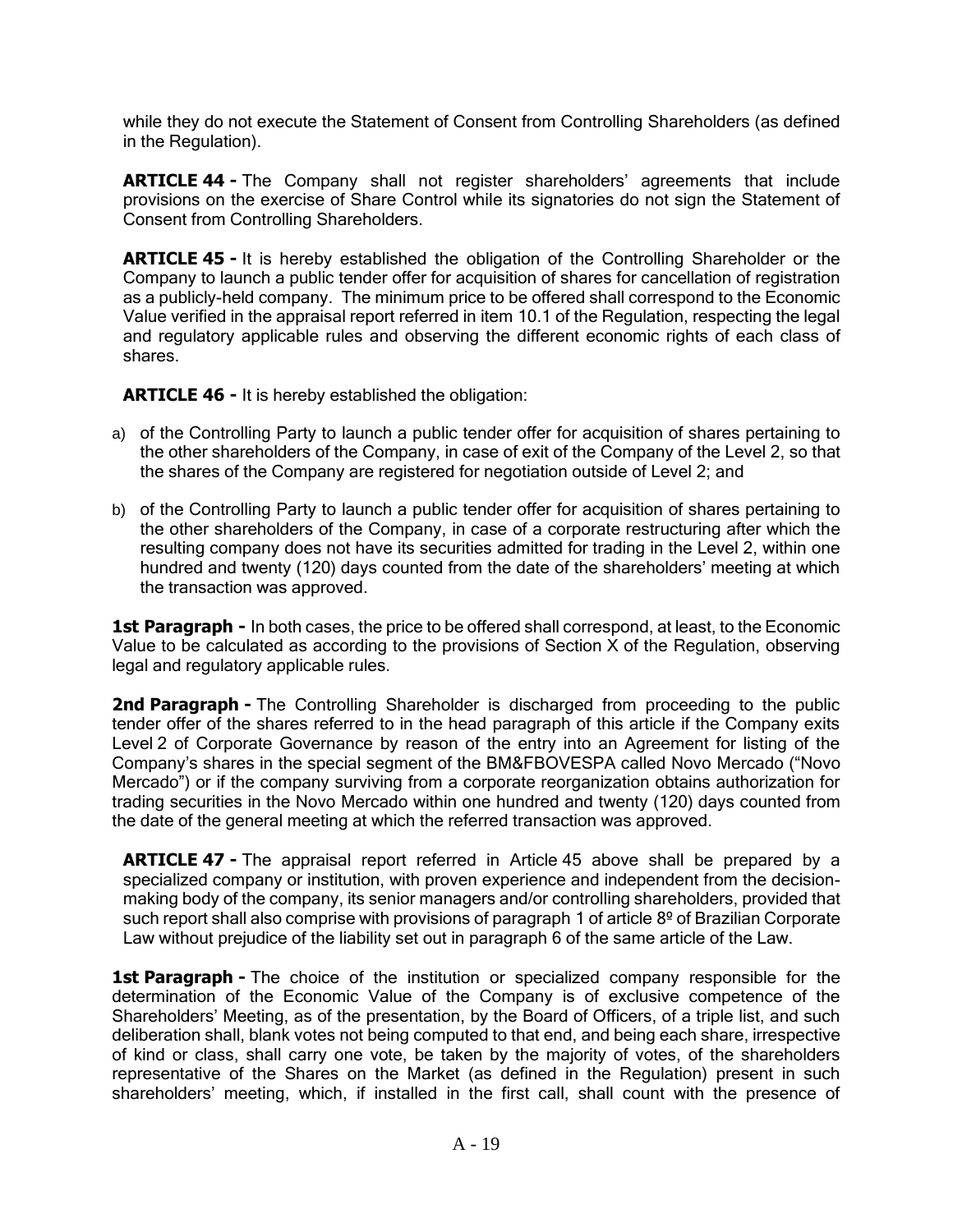while they do not execute the Statement of Consent from Controlling Shareholders (as defined in the Regulation).

**ARTICLE 44 -** The Company shall not register shareholders' agreements that include provisions on the exercise of Share Control while its signatories do not sign the Statement of Consent from Controlling Shareholders.

**ARTICLE 45 -** It is hereby established the obligation of the Controlling Shareholder or the Company to launch a public tender offer for acquisition of shares for cancellation of registration as a publicly-held company. The minimum price to be offered shall correspond to the Economic Value verified in the appraisal report referred in item 10.1 of the Regulation, respecting the legal and regulatory applicable rules and observing the different economic rights of each class of shares.

**ARTICLE 46 -** It is hereby established the obligation:

- a) of the Controlling Party to launch a public tender offer for acquisition of shares pertaining to the other shareholders of the Company, in case of exit of the Company of the Level 2, so that the shares of the Company are registered for negotiation outside of Level 2; and
- b) of the Controlling Party to launch a public tender offer for acquisition of shares pertaining to the other shareholders of the Company, in case of a corporate restructuring after which the resulting company does not have its securities admitted for trading in the Level 2, within one hundred and twenty (120) days counted from the date of the shareholders' meeting at which the transaction was approved.

**1st Paragraph -** In both cases, the price to be offered shall correspond, at least, to the Economic Value to be calculated as according to the provisions of Section X of the Regulation, observing legal and regulatory applicable rules.

**2nd Paragraph -** The Controlling Shareholder is discharged from proceeding to the public tender offer of the shares referred to in the head paragraph of this article if the Company exits Level 2 of Corporate Governance by reason of the entry into an Agreement for listing of the Company's shares in the special segment of the BM&FBOVESPA called Novo Mercado ("Novo Mercado") or if the company surviving from a corporate reorganization obtains authorization for trading securities in the Novo Mercado within one hundred and twenty (120) days counted from the date of the general meeting at which the referred transaction was approved.

**ARTICLE 47 -** The appraisal report referred in Article 45 above shall be prepared by a specialized company or institution, with proven experience and independent from the decisionmaking body of the company, its senior managers and/or controlling shareholders, provided that such report shall also comprise with provisions of paragraph 1 of article 8<sup>o</sup> of Brazilian Corporate Law without prejudice of the liability set out in paragraph 6 of the same article of the Law.

**1st Paragraph -** The choice of the institution or specialized company responsible for the determination of the Economic Value of the Company is of exclusive competence of the Shareholders' Meeting, as of the presentation, by the Board of Officers, of a triple list, and such deliberation shall, blank votes not being computed to that end, and being each share, irrespective of kind or class, shall carry one vote, be taken by the majority of votes, of the shareholders representative of the Shares on the Market (as defined in the Regulation) present in such shareholders' meeting, which, if installed in the first call, shall count with the presence of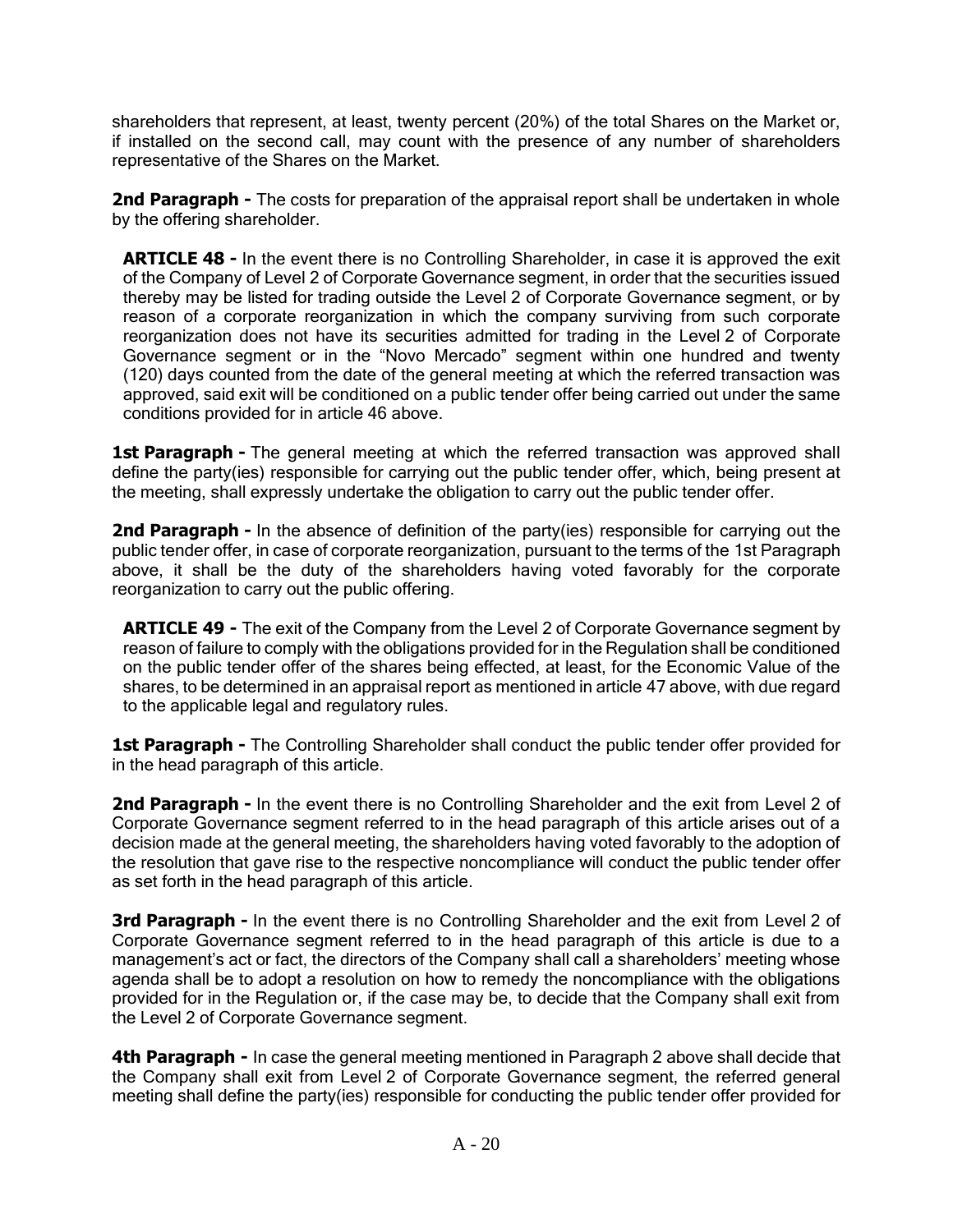shareholders that represent, at least, twenty percent (20%) of the total Shares on the Market or, if installed on the second call, may count with the presence of any number of shareholders representative of the Shares on the Market.

**2nd Paragraph -** The costs for preparation of the appraisal report shall be undertaken in whole by the offering shareholder.

**ARTICLE 48 -** In the event there is no Controlling Shareholder, in case it is approved the exit of the Company of Level 2 of Corporate Governance segment, in order that the securities issued thereby may be listed for trading outside the Level 2 of Corporate Governance segment, or by reason of a corporate reorganization in which the company surviving from such corporate reorganization does not have its securities admitted for trading in the Level 2 of Corporate Governance segment or in the "Novo Mercado" segment within one hundred and twenty (120) days counted from the date of the general meeting at which the referred transaction was approved, said exit will be conditioned on a public tender offer being carried out under the same conditions provided for in article 46 above.

**1st Paragraph -** The general meeting at which the referred transaction was approved shall define the party(ies) responsible for carrying out the public tender offer, which, being present at the meeting, shall expressly undertake the obligation to carry out the public tender offer.

**2nd Paragraph -** In the absence of definition of the party(ies) responsible for carrying out the public tender offer, in case of corporate reorganization, pursuant to the terms of the 1st Paragraph above, it shall be the duty of the shareholders having voted favorably for the corporate reorganization to carry out the public offering.

**ARTICLE 49 -** The exit of the Company from the Level 2 of Corporate Governance segment by reason of failure to comply with the obligations provided for in the Regulation shall be conditioned on the public tender offer of the shares being effected, at least, for the Economic Value of the shares, to be determined in an appraisal report as mentioned in article 47 above, with due regard to the applicable legal and regulatory rules.

**1st Paragraph -** The Controlling Shareholder shall conduct the public tender offer provided for in the head paragraph of this article.

**2nd Paragraph -** In the event there is no Controlling Shareholder and the exit from Level 2 of Corporate Governance segment referred to in the head paragraph of this article arises out of a decision made at the general meeting, the shareholders having voted favorably to the adoption of the resolution that gave rise to the respective noncompliance will conduct the public tender offer as set forth in the head paragraph of this article.

**3rd Paragraph -** In the event there is no Controlling Shareholder and the exit from Level 2 of Corporate Governance segment referred to in the head paragraph of this article is due to a management's act or fact, the directors of the Company shall call a shareholders' meeting whose agenda shall be to adopt a resolution on how to remedy the noncompliance with the obligations provided for in the Regulation or, if the case may be, to decide that the Company shall exit from the Level 2 of Corporate Governance segment.

**4th Paragraph -** In case the general meeting mentioned in Paragraph 2 above shall decide that the Company shall exit from Level 2 of Corporate Governance segment, the referred general meeting shall define the party(ies) responsible for conducting the public tender offer provided for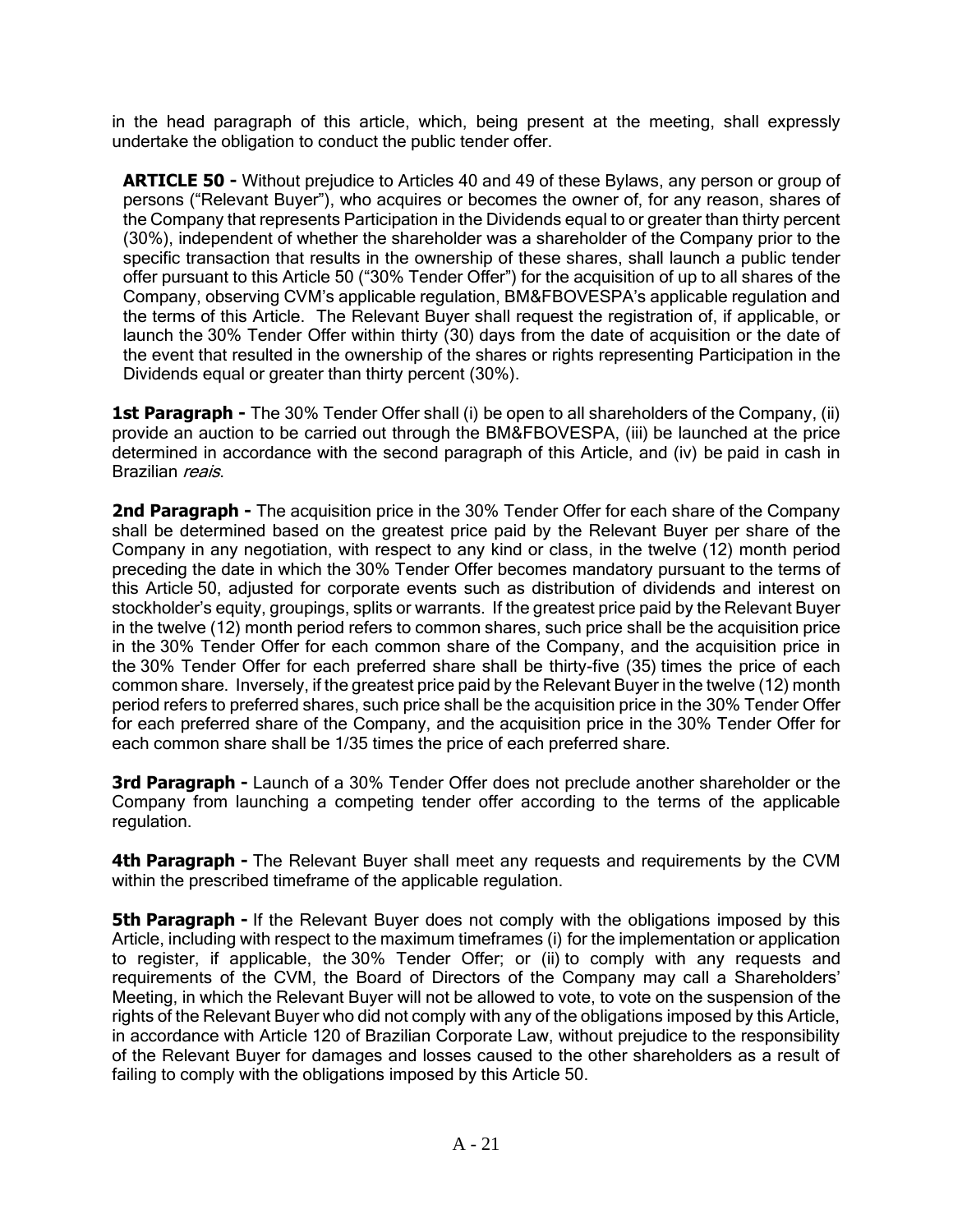in the head paragraph of this article, which, being present at the meeting, shall expressly undertake the obligation to conduct the public tender offer.

**ARTICLE 50 -** Without prejudice to Articles 40 and 49 of these Bylaws, any person or group of persons ("Relevant Buyer"), who acquires or becomes the owner of, for any reason, shares of the Company that represents Participation in the Dividends equal to or greater than thirty percent (30%), independent of whether the shareholder was a shareholder of the Company prior to the specific transaction that results in the ownership of these shares, shall launch a public tender offer pursuant to this Article 50 ("30% Tender Offer") for the acquisition of up to all shares of the Company, observing CVM's applicable regulation, BM&FBOVESPA's applicable regulation and the terms of this Article. The Relevant Buyer shall request the registration of, if applicable, or launch the 30% Tender Offer within thirty (30) days from the date of acquisition or the date of the event that resulted in the ownership of the shares or rights representing Participation in the Dividends equal or greater than thirty percent (30%).

**1st Paragraph -** The 30% Tender Offer shall (i) be open to all shareholders of the Company, (ii) provide an auction to be carried out through the BM&FBOVESPA, (iii) be launched at the price determined in accordance with the second paragraph of this Article, and (iv) be paid in cash in Brazilian reais.

**2nd Paragraph -** The acquisition price in the 30% Tender Offer for each share of the Company shall be determined based on the greatest price paid by the Relevant Buyer per share of the Company in any negotiation, with respect to any kind or class, in the twelve (12) month period preceding the date in which the 30% Tender Offer becomes mandatory pursuant to the terms of this Article 50, adjusted for corporate events such as distribution of dividends and interest on stockholder's equity, groupings, splits or warrants. If the greatest price paid by the Relevant Buyer in the twelve (12) month period refers to common shares, such price shall be the acquisition price in the 30% Tender Offer for each common share of the Company, and the acquisition price in the 30% Tender Offer for each preferred share shall be thirty-five (35) times the price of each common share. Inversely, if the greatest price paid by the Relevant Buyer in the twelve (12) month period refers to preferred shares, such price shall be the acquisition price in the 30% Tender Offer for each preferred share of the Company, and the acquisition price in the 30% Tender Offer for each common share shall be 1/35 times the price of each preferred share.

**3rd Paragraph -** Launch of a 30% Tender Offer does not preclude another shareholder or the Company from launching a competing tender offer according to the terms of the applicable regulation.

**4th Paragraph -** The Relevant Buyer shall meet any requests and requirements by the CVM within the prescribed timeframe of the applicable regulation.

**5th Paragraph -** If the Relevant Buyer does not comply with the obligations imposed by this Article, including with respect to the maximum timeframes (i) for the implementation or application to register, if applicable, the 30% Tender Offer; or (ii) to comply with any requests and requirements of the CVM, the Board of Directors of the Company may call a Shareholders' Meeting, in which the Relevant Buyer will not be allowed to vote, to vote on the suspension of the rights of the Relevant Buyer who did not comply with any of the obligations imposed by this Article, in accordance with Article 120 of Brazilian Corporate Law, without prejudice to the responsibility of the Relevant Buyer for damages and losses caused to the other shareholders as a result of failing to comply with the obligations imposed by this Article 50.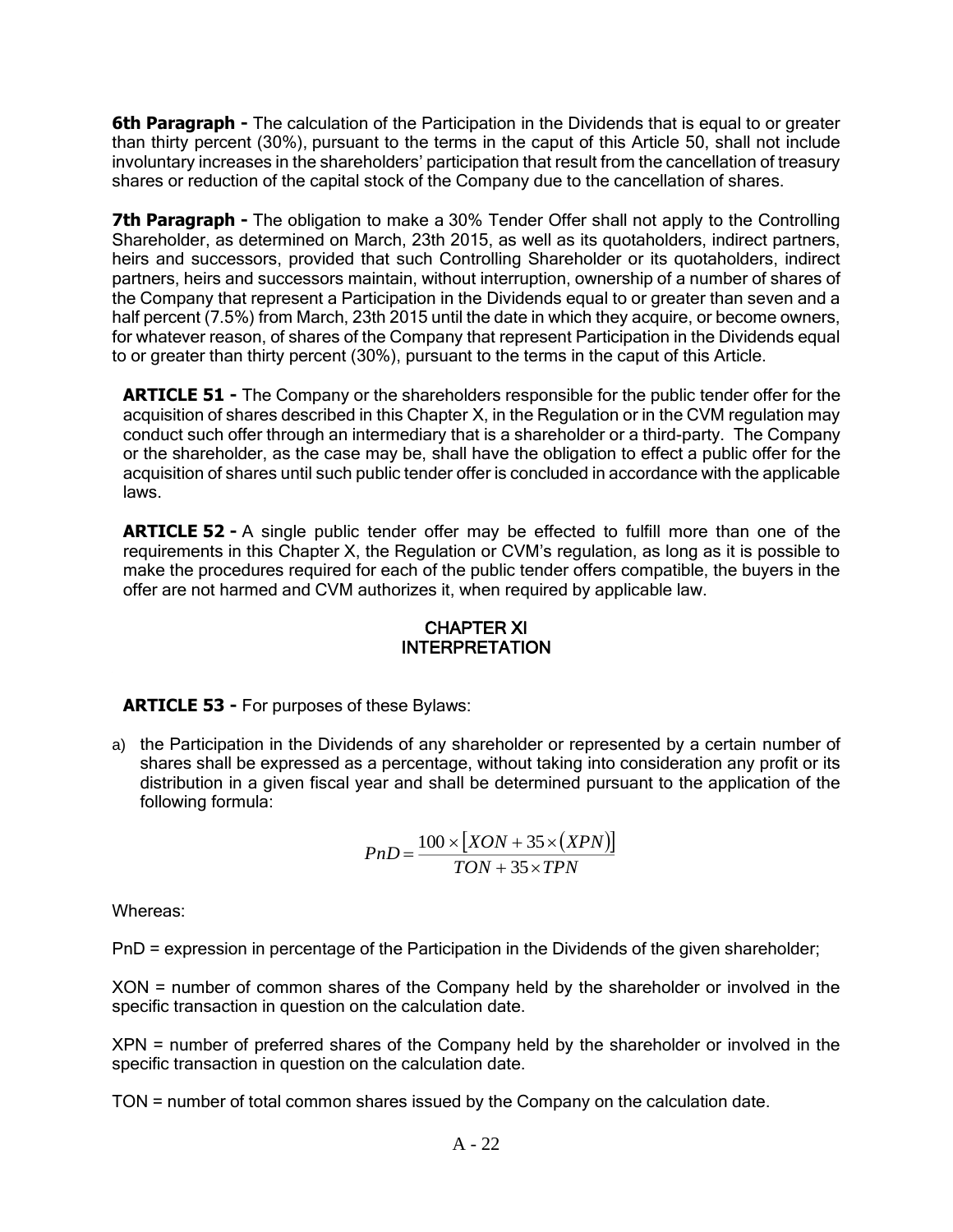**6th Paragraph -** The calculation of the Participation in the Dividends that is equal to or greater than thirty percent (30%), pursuant to the terms in the caput of this Article 50, shall not include involuntary increases in the shareholders' participation that result from the cancellation of treasury shares or reduction of the capital stock of the Company due to the cancellation of shares.

**7th Paragraph -** The obligation to make a 30% Tender Offer shall not apply to the Controlling Shareholder, as determined on March, 23th 2015, as well as its quotaholders, indirect partners, heirs and successors, provided that such Controlling Shareholder or its quotaholders, indirect partners, heirs and successors maintain, without interruption, ownership of a number of shares of the Company that represent a Participation in the Dividends equal to or greater than seven and a half percent (7.5%) from March, 23th 2015 until the date in which they acquire, or become owners, for whatever reason, of shares of the Company that represent Participation in the Dividends equal to or greater than thirty percent (30%), pursuant to the terms in the caput of this Article.

**ARTICLE 51 -** The Company or the shareholders responsible for the public tender offer for the acquisition of shares described in this Chapter X, in the Regulation or in the CVM regulation may conduct such offer through an intermediary that is a shareholder or a third-party. The Company or the shareholder, as the case may be, shall have the obligation to effect a public offer for the acquisition of shares until such public tender offer is concluded in accordance with the applicable laws.

**ARTICLE 52 -** A single public tender offer may be effected to fulfill more than one of the requirements in this Chapter X, the Regulation or CVM's regulation, as long as it is possible to make the procedures required for each of the public tender offers compatible, the buyers in the offer are not harmed and CVM authorizes it, when required by applicable law.

# CHAPTER XI INTERPRETATION

**ARTICLE 53 -** For purposes of these Bylaws:

a) the Participation in the Dividends of any shareholder or represented by a certain number of shares shall be expressed as a percentage, without taking into consideration any profit or its distribution in a given fiscal year and shall be determined pursuant to the application of the following formula:

$$
PnD = \frac{100 \times [XON + 35 \times (XPN)]}{TON + 35 \times TPN}
$$

Whereas:

PnD = expression in percentage of the Participation in the Dividends of the given shareholder;

XON = number of common shares of the Company held by the shareholder or involved in the specific transaction in question on the calculation date.

XPN = number of preferred shares of the Company held by the shareholder or involved in the specific transaction in question on the calculation date.

TON = number of total common shares issued by the Company on the calculation date.